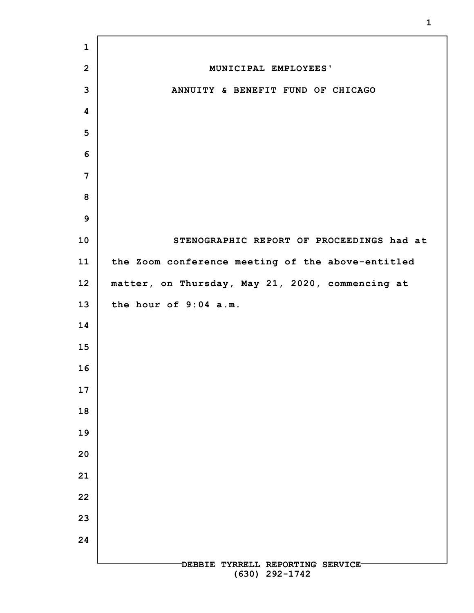| $\mathbf{1}$   |                                                    |
|----------------|----------------------------------------------------|
| $\overline{2}$ | MUNICIPAL EMPLOYEES'                               |
| 3              | ANNUITY & BENEFIT FUND OF CHICAGO                  |
| 4              |                                                    |
| 5              |                                                    |
| 6              |                                                    |
| 7              |                                                    |
| 8              |                                                    |
| 9              |                                                    |
| 10             | STENOGRAPHIC REPORT OF PROCEEDINGS had at          |
| 11             | the Zoom conference meeting of the above-entitled  |
| 12             | matter, on Thursday, May 21, 2020, commencing at   |
| 13             | the hour of 9:04 a.m.                              |
| 14             |                                                    |
| 15             |                                                    |
| 16             |                                                    |
| 17             |                                                    |
| 18             |                                                    |
| 19             |                                                    |
| 20             |                                                    |
| 21             |                                                    |
| 22             |                                                    |
| 23             |                                                    |
| 24             |                                                    |
|                |                                                    |
|                | DEBBIE TYRRELL REPORTING SERVICE<br>(630) 292-1742 |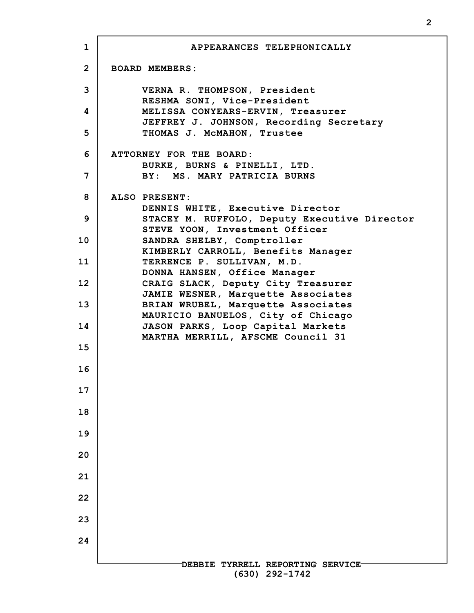**1 2 3 4 5 6 7 8 9 10 11 12 13 14 15 16 17 18 19 20 21 22 23 24 DEBBIE TYRRELL REPORTING SERVICE (630) 292-1742 APPEARANCES TELEPHONICALLY BOARD MEMBERS: VERNA R. THOMPSON, President RESHMA SONI, Vice-President MELISSA CONYEARS-ERVIN, Treasurer JEFFREY J. JOHNSON, Recording Secretary THOMAS J. McMAHON, Trustee ATTORNEY FOR THE BOARD: BURKE, BURNS & PINELLI, LTD. BY: MS. MARY PATRICIA BURNS ALSO PRESENT: DENNIS WHITE, Executive Director STACEY M. RUFFOLO, Deputy Executive Director STEVE YOON, Investment Officer SANDRA SHELBY, Comptroller KIMBERLY CARROLL, Benefits Manager TERRENCE P. SULLIVAN, M.D. DONNA HANSEN, Office Manager CRAIG SLACK, Deputy City Treasurer JAMIE WESNER, Marquette Associates BRIAN WRUBEL, Marquette Associates MAURICIO BANUELOS, City of Chicago JASON PARKS, Loop Capital Markets MARTHA MERRILL, AFSCME Council 31**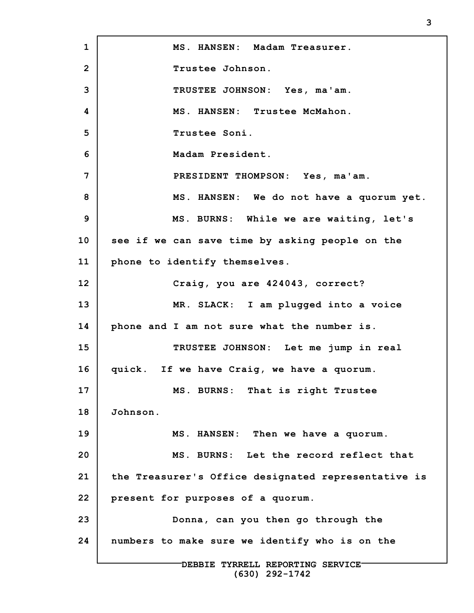**1 2 3 4 5 6 7 8 9 10 11 12 13 14 15 16 17 18 19 20 21 22 23 24 DEBBIE TYRRELL REPORTING SERVICE (630) 292-1742 MS. HANSEN: Madam Treasurer. Trustee Johnson. TRUSTEE JOHNSON: Yes, ma'am. MS. HANSEN: Trustee McMahon. Trustee Soni. Madam President. PRESIDENT THOMPSON: Yes, ma'am. MS. HANSEN: We do not have a quorum yet. MS. BURNS: While we are waiting, let's see if we can save time by asking people on the phone to identify themselves. Craig, you are 424043, correct? MR. SLACK: I am plugged into a voice phone and I am not sure what the number is. TRUSTEE JOHNSON: Let me jump in real quick. If we have Craig, we have a quorum. MS. BURNS: That is right Trustee Johnson. MS. HANSEN: Then we have a quorum. MS. BURNS: Let the record reflect that the Treasurer's Office designated representative is present for purposes of a quorum. Donna, can you then go through the numbers to make sure we identify who is on the**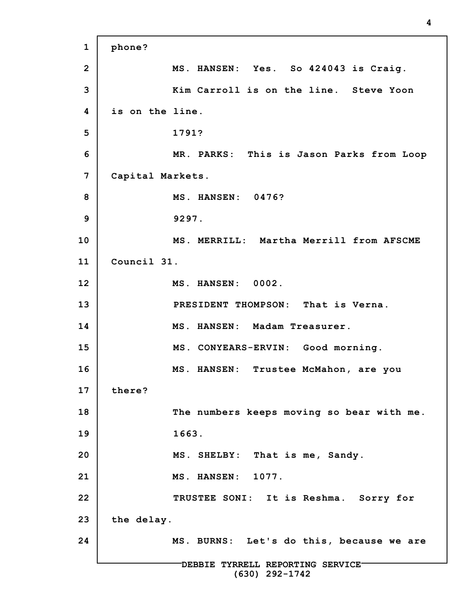```
1
2
3
 4
5
6
7
8
9
10
11
12
13
14
15
16
17
18
19
20
21
22
23
24
                DEBBIE TYRRELL REPORTING SERVICE
                          (630) 292-1742
     phone?
               MS. HANSEN: Yes. So 424043 is Craig.
               Kim Carroll is on the line. Steve Yoon
     is on the line.
               1791?
               MR. PARKS: This is Jason Parks from Loop
     Capital Markets.
               MS. HANSEN: 0476?
               9297.
               MS. MERRILL: Martha Merrill from AFSCME
     Council 31.
               MS. HANSEN: 0002.
               PRESIDENT THOMPSON: That is Verna.
               MS. HANSEN: Madam Treasurer.
               MS. CONYEARS-ERVIN: Good morning.
               MS. HANSEN: Trustee McMahon, are you
     there?
               The numbers keeps moving so bear with me.
               1663.
               MS. SHELBY: That is me, Sandy.
               MS. HANSEN: 1077.
               TRUSTEE SONI: It is Reshma. Sorry for
     the delay.
               MS. BURNS: Let's do this, because we are
```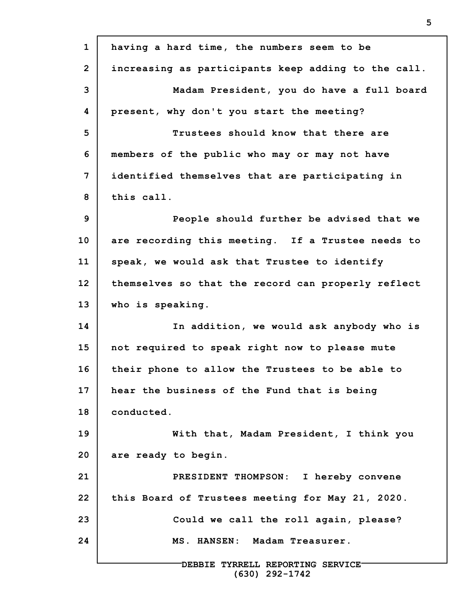**1 2 3 4 5 6 7 8 9 10 11 12 13 14 15 16 17 18 19 20 21 22 23 24 DEBBIE TYRRELL REPORTING SERVICE having a hard time, the numbers seem to be increasing as participants keep adding to the call. Madam President, you do have a full board present, why don't you start the meeting? Trustees should know that there are members of the public who may or may not have identified themselves that are participating in this call. People should further be advised that we are recording this meeting. If a Trustee needs to speak, we would ask that Trustee to identify themselves so that the record can properly reflect who is speaking. In addition, we would ask anybody who is not required to speak right now to please mute their phone to allow the Trustees to be able to hear the business of the Fund that is being conducted. With that, Madam President, I think you are ready to begin. PRESIDENT THOMPSON: I hereby convene this Board of Trustees meeting for May 21, 2020. Could we call the roll again, please? MS. HANSEN: Madam Treasurer.**

**(630) 292-1742**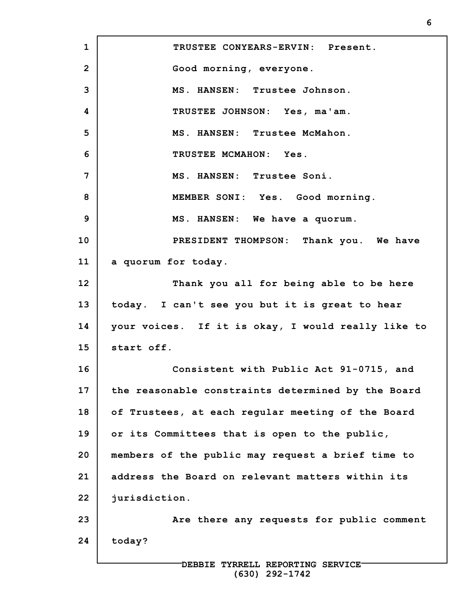**1 2 3 4 5 6 7 8 9 10 11 12 13 14 15 16 17 18 19 20 21 22 23 24 TRUSTEE CONYEARS-ERVIN: Present. Good morning, everyone. MS. HANSEN: Trustee Johnson. TRUSTEE JOHNSON: Yes, ma'am. MS. HANSEN: Trustee McMahon. TRUSTEE MCMAHON: Yes. MS. HANSEN: Trustee Soni. MEMBER SONI: Yes. Good morning. MS. HANSEN: We have a quorum. PRESIDENT THOMPSON: Thank you. We have a quorum for today. Thank you all for being able to be here today. I can't see you but it is great to hear your voices. If it is okay, I would really like to start off. Consistent with Public Act 91-0715, and the reasonable constraints determined by the Board of Trustees, at each regular meeting of the Board or its Committees that is open to the public, members of the public may request a brief time to address the Board on relevant matters within its jurisdiction. Are there any requests for public comment today?**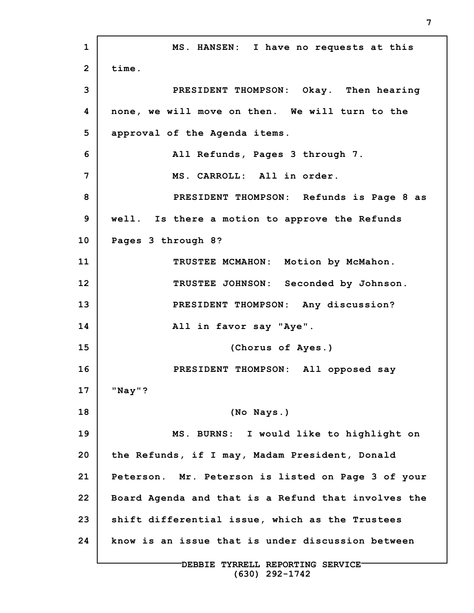**1 2 3 4 5 6 7 8 9 10 11 12 13 14 15 16 17 18 19 20 21 22 23 24 MS. HANSEN: I have no requests at this time. PRESIDENT THOMPSON: Okay. Then hearing none, we will move on then. We will turn to the approval of the Agenda items. All Refunds, Pages 3 through 7. MS. CARROLL: All in order. PRESIDENT THOMPSON: Refunds is Page 8 as well. Is there a motion to approve the Refunds Pages 3 through 8? TRUSTEE MCMAHON: Motion by McMahon. TRUSTEE JOHNSON: Seconded by Johnson. PRESIDENT THOMPSON: Any discussion? All in favor say "Aye". (Chorus of Ayes.) PRESIDENT THOMPSON: All opposed say "Nay"? (No Nays.) MS. BURNS: I would like to highlight on the Refunds, if I may, Madam President, Donald Peterson. Mr. Peterson is listed on Page 3 of your Board Agenda and that is a Refund that involves the shift differential issue, which as the Trustees know is an issue that is under discussion between**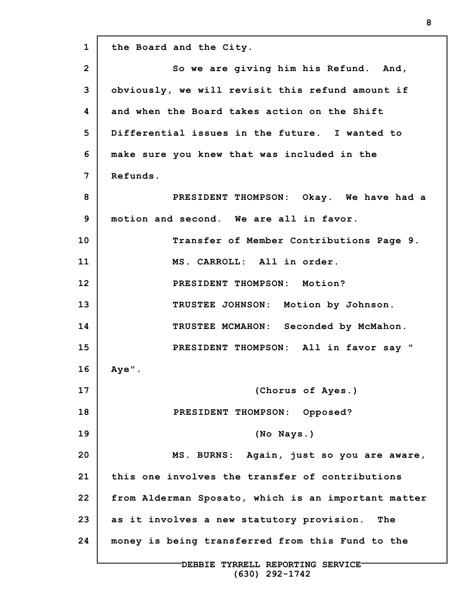**1 2 3 4 5 6 7 8 9 10 11 12 13 14 15 16 17 18 19 20 21 22 23 24 DEBBIE TYRRELL REPORTING SERVICE the Board and the City. So we are giving him his Refund. And, obviously, we will revisit this refund amount if and when the Board takes action on the Shift Differential issues in the future. I wanted to make sure you knew that was included in the Refunds. PRESIDENT THOMPSON: Okay. We have had a motion and second. We are all in favor. Transfer of Member Contributions Page 9. MS. CARROLL: All in order. PRESIDENT THOMPSON: Motion? TRUSTEE JOHNSON: Motion by Johnson. TRUSTEE MCMAHON: Seconded by McMahon. PRESIDENT THOMPSON: All in favor say " Aye". (Chorus of Ayes.) PRESIDENT THOMPSON: Opposed? (No Nays.) MS. BURNS: Again, just so you are aware, this one involves the transfer of contributions from Alderman Sposato, which is an important matter as it involves a new statutory provision. The money is being transferred from this Fund to the**

**(630) 292-1742**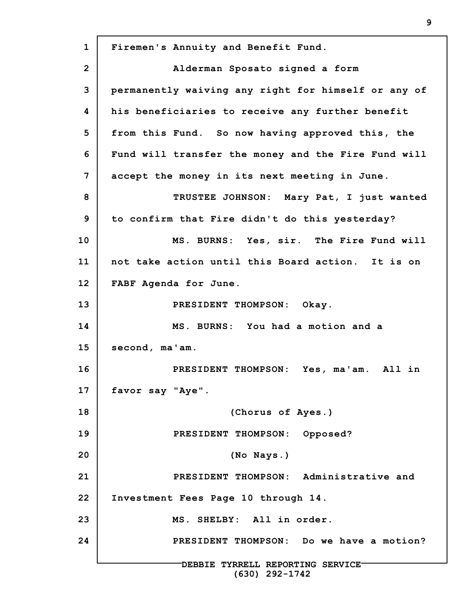**1 2 3 4 5 6 7 8 9 10 11 12 13 14 15 16 17 18 19 20 21 22 23 24 DEBBIE TYRRELL REPORTING SERVICE (630) 292-1742 Firemen's Annuity and Benefit Fund. Alderman Sposato signed a form permanently waiving any right for himself or any of his beneficiaries to receive any further benefit from this Fund. So now having approved this, the Fund will transfer the money and the Fire Fund will accept the money in its next meeting in June. TRUSTEE JOHNSON: Mary Pat, I just wanted to confirm that Fire didn't do this yesterday? MS. BURNS: Yes, sir. The Fire Fund will not take action until this Board action. It is on FABF Agenda for June. PRESIDENT THOMPSON: Okay. MS. BURNS: You had a motion and a second, ma'am. PRESIDENT THOMPSON: Yes, ma'am. All in favor say "Aye". (Chorus of Ayes.) PRESIDENT THOMPSON: Opposed? (No Nays.) PRESIDENT THOMPSON: Administrative and Investment Fees Page 10 through 14. MS. SHELBY: All in order. PRESIDENT THOMPSON: Do we have a motion?**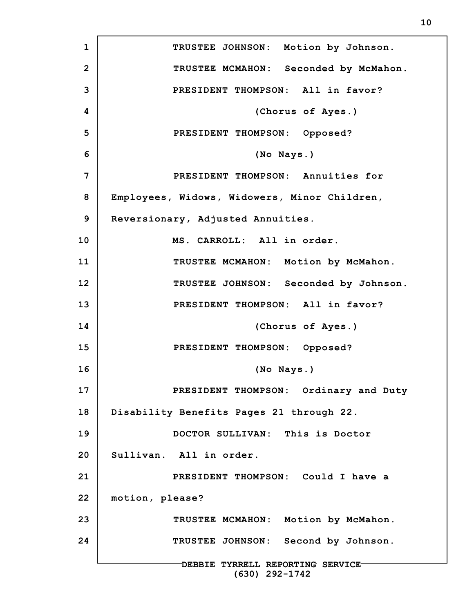**1 2 3 4 5 6 7 8 9 10 11 12 13 14 15 16 17 18 19 20 21 22 23 24 DEBBIE TYRRELL REPORTING SERVICE (630) 292-1742 TRUSTEE JOHNSON: Motion by Johnson. TRUSTEE MCMAHON: Seconded by McMahon. PRESIDENT THOMPSON: All in favor? (Chorus of Ayes.) PRESIDENT THOMPSON: Opposed? (No Nays.) PRESIDENT THOMPSON: Annuities for Employees, Widows, Widowers, Minor Children, Reversionary, Adjusted Annuities. MS. CARROLL: All in order. TRUSTEE MCMAHON: Motion by McMahon. TRUSTEE JOHNSON: Seconded by Johnson. PRESIDENT THOMPSON: All in favor? (Chorus of Ayes.) PRESIDENT THOMPSON: Opposed? (No Nays.) PRESIDENT THOMPSON: Ordinary and Duty Disability Benefits Pages 21 through 22. DOCTOR SULLIVAN: This is Doctor Sullivan. All in order. PRESIDENT THOMPSON: Could I have a motion, please? TRUSTEE MCMAHON: Motion by McMahon. TRUSTEE JOHNSON: Second by Johnson.**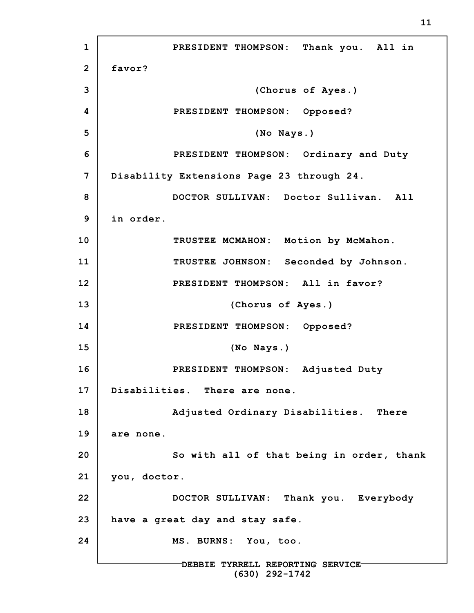**1 2 3 4 5 6 7 8 9 10 11 12 13 14 15 16 17 18 19 20 21 22 23 24 DEBBIE TYRRELL REPORTING SERVICE PRESIDENT THOMPSON: Thank you. All in favor? (Chorus of Ayes.) PRESIDENT THOMPSON: Opposed? (No Nays.) PRESIDENT THOMPSON: Ordinary and Duty Disability Extensions Page 23 through 24. DOCTOR SULLIVAN: Doctor Sullivan. All in order. TRUSTEE MCMAHON: Motion by McMahon. TRUSTEE JOHNSON: Seconded by Johnson. PRESIDENT THOMPSON: All in favor? (Chorus of Ayes.) PRESIDENT THOMPSON: Opposed? (No Nays.) PRESIDENT THOMPSON: Adjusted Duty Disabilities. There are none. Adjusted Ordinary Disabilities. There are none. So with all of that being in order, thank you, doctor. DOCTOR SULLIVAN: Thank you. Everybody have a great day and stay safe. MS. BURNS: You, too.**

**(630) 292-1742**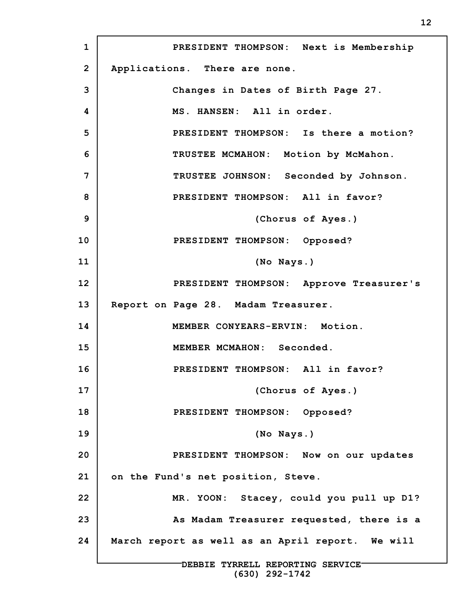**1 2 3 4 5 6 7 8 9 10 11 12 13 14 15 16 17 18 19 20 21 22 23 24 DEBBIE TYRRELL REPORTING SERVICE PRESIDENT THOMPSON: Next is Membership Applications. There are none. Changes in Dates of Birth Page 27. MS. HANSEN: All in order. PRESIDENT THOMPSON: Is there a motion? TRUSTEE MCMAHON: Motion by McMahon. TRUSTEE JOHNSON: Seconded by Johnson. PRESIDENT THOMPSON: All in favor? (Chorus of Ayes.) PRESIDENT THOMPSON: Opposed? (No Nays.) PRESIDENT THOMPSON: Approve Treasurer's Report on Page 28. Madam Treasurer. MEMBER CONYEARS-ERVIN: Motion. MEMBER MCMAHON: Seconded. PRESIDENT THOMPSON: All in favor? (Chorus of Ayes.) PRESIDENT THOMPSON: Opposed? (No Nays.) PRESIDENT THOMPSON: Now on our updates on the Fund's net position, Steve. MR. YOON: Stacey, could you pull up D1? As Madam Treasurer requested, there is a March report as well as an April report. We will**

**(630) 292-1742**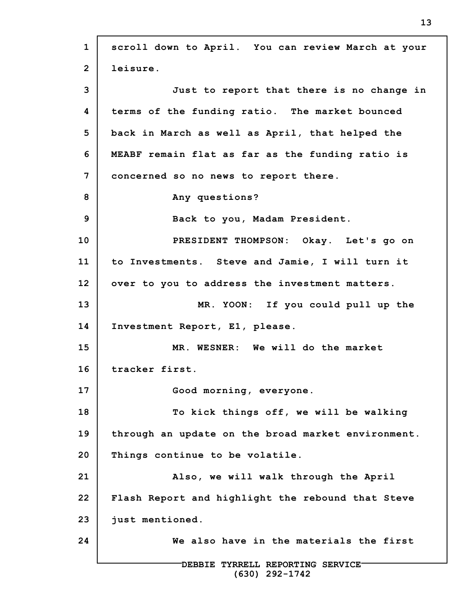**1 2 3 4 5 6 7 8 9 10 11 12 13 14 15 16 17 18 19 20 21 22 23 24 DEBBIE TYRRELL REPORTING SERVICE (630) 292-1742 scroll down to April. You can review March at your leisure. Just to report that there is no change in terms of the funding ratio. The market bounced back in March as well as April, that helped the MEABF remain flat as far as the funding ratio is concerned so no news to report there. Any questions? Back to you, Madam President. PRESIDENT THOMPSON: Okay. Let's go on to Investments. Steve and Jamie, I will turn it over to you to address the investment matters. MR. YOON: If you could pull up the Investment Report, E1, please. MR. WESNER: We will do the market tracker first. Good morning, everyone. To kick things off, we will be walking through an update on the broad market environment. Things continue to be volatile. Also, we will walk through the April Flash Report and highlight the rebound that Steve just mentioned. We also have in the materials the first**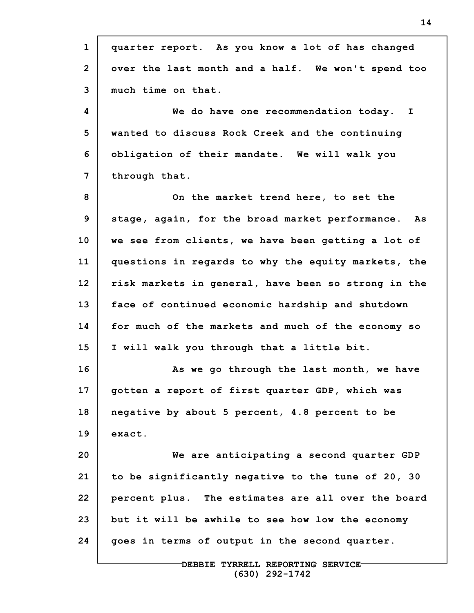**1 2 3 4 5 6 7 8 9 10 11 12 13 14 15 16 17 18 19 20 21 22 23 24 quarter report. As you know a lot of has changed over the last month and a half. We won't spend too much time on that. We do have one recommendation today. I wanted to discuss Rock Creek and the continuing obligation of their mandate. We will walk you through that. On the market trend here, to set the stage, again, for the broad market performance. As we see from clients, we have been getting a lot of questions in regards to why the equity markets, the risk markets in general, have been so strong in the face of continued economic hardship and shutdown for much of the markets and much of the economy so I will walk you through that a little bit. As we go through the last month, we have gotten a report of first quarter GDP, which was negative by about 5 percent, 4.8 percent to be exact. We are anticipating a second quarter GDP to be significantly negative to the tune of 20, 30 percent plus. The estimates are all over the board but it will be awhile to see how low the economy goes in terms of output in the second quarter.**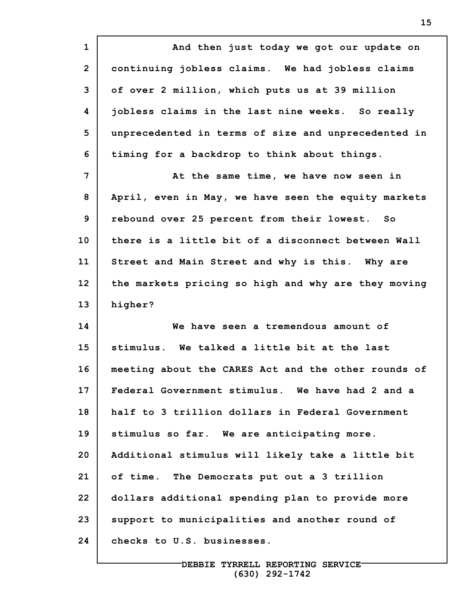**1 2 3 4 5 6 7 8 9 10 11 12 13 14 15 16 17 18 19 20 21 22 23 24 And then just today we got our update on continuing jobless claims. We had jobless claims of over 2 million, which puts us at 39 million jobless claims in the last nine weeks. So really unprecedented in terms of size and unprecedented in timing for a backdrop to think about things. At the same time, we have now seen in April, even in May, we have seen the equity markets rebound over 25 percent from their lowest. So there is a little bit of a disconnect between Wall Street and Main Street and why is this. Why are the markets pricing so high and why are they moving higher? We have seen a tremendous amount of stimulus. We talked a little bit at the last meeting about the CARES Act and the other rounds of Federal Government stimulus. We have had 2 and a half to 3 trillion dollars in Federal Government stimulus so far. We are anticipating more. Additional stimulus will likely take a little bit of time. The Democrats put out a 3 trillion dollars additional spending plan to provide more support to municipalities and another round of checks to U.S. businesses.**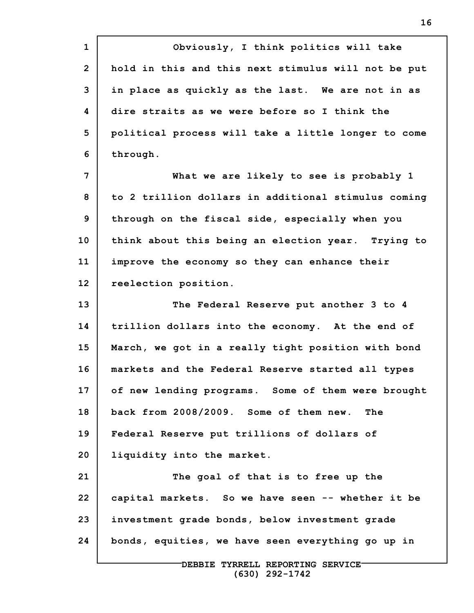**1 2 3 4 5 6 7 8 9 10 11 12 13 14 15 16 17 18 19 20 21 22 23 24 Obviously, I think politics will take hold in this and this next stimulus will not be put in place as quickly as the last. We are not in as dire straits as we were before so I think the political process will take a little longer to come through. What we are likely to see is probably 1 to 2 trillion dollars in additional stimulus coming through on the fiscal side, especially when you think about this being an election year. Trying to improve the economy so they can enhance their reelection position. The Federal Reserve put another 3 to 4 trillion dollars into the economy. At the end of March, we got in a really tight position with bond markets and the Federal Reserve started all types of new lending programs. Some of them were brought back from 2008/2009. Some of them new. The Federal Reserve put trillions of dollars of liquidity into the market. The goal of that is to free up the capital markets. So we have seen -- whether it be investment grade bonds, below investment grade bonds, equities, we have seen everything go up in**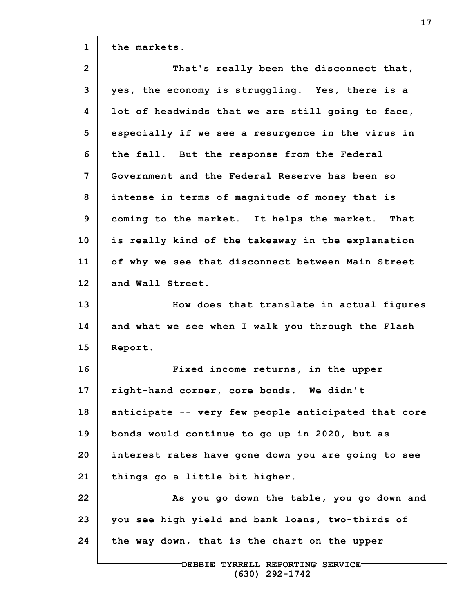| $\mathbf{1}$   | the markets.                                        |
|----------------|-----------------------------------------------------|
| $\overline{2}$ | That's really been the disconnect that,             |
| 3              | yes, the economy is struggling. Yes, there is a     |
| 4              | lot of headwinds that we are still going to face,   |
| 5              | especially if we see a resurgence in the virus in   |
| 6              | the fall. But the response from the Federal         |
| 7              | Government and the Federal Reserve has been so      |
| 8              | intense in terms of magnitude of money that is      |
| 9              | coming to the market. It helps the market. That     |
| 10             | is really kind of the takeaway in the explanation   |
| 11             | of why we see that disconnect between Main Street   |
| 12             | and Wall Street.                                    |
| 13             | How does that translate in actual figures           |
| 14             | and what we see when I walk you through the Flash   |
| 15             | Report.                                             |
| 16             | Fixed income returns, in the upper                  |
| 17             | right-hand corner, core bonds. We didn't            |
| 18             | anticipate -- very few people anticipated that core |
| 19             | bonds would continue to go up in 2020, but as       |
| 20             | interest rates have gone down you are going to see  |
| 21             | things go a little bit higher.                      |
| 22             | As you go down the table, you go down and           |
| 23             | you see high yield and bank loans, two-thirds of    |
| 24             | the way down, that is the chart on the upper        |
|                |                                                     |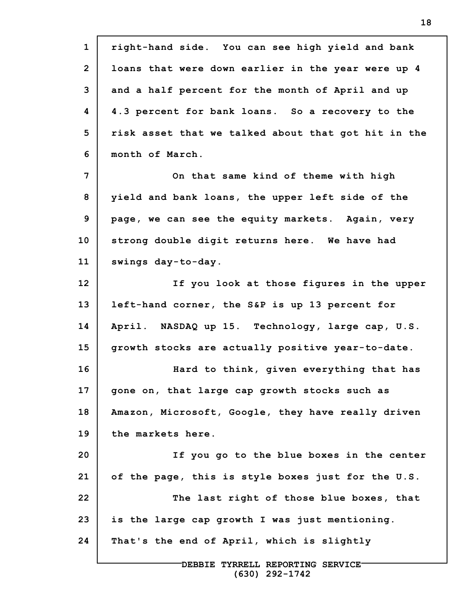**1 2 3 4 5 6 7 8 9 10 11 12 13 14 15 16 17 18 19 20 21 22 23 24 right-hand side. You can see high yield and bank loans that were down earlier in the year were up 4 and a half percent for the month of April and up 4.3 percent for bank loans. So a recovery to the risk asset that we talked about that got hit in the month of March. On that same kind of theme with high yield and bank loans, the upper left side of the page, we can see the equity markets. Again, very strong double digit returns here. We have had swings day-to-day. If you look at those figures in the upper left-hand corner, the S&P is up 13 percent for April. NASDAQ up 15. Technology, large cap, U.S. growth stocks are actually positive year-to-date. Hard to think, given everything that has gone on, that large cap growth stocks such as Amazon, Microsoft, Google, they have really driven the markets here. If you go to the blue boxes in the center of the page, this is style boxes just for the U.S. The last right of those blue boxes, that is the large cap growth I was just mentioning. That's the end of April, which is slightly**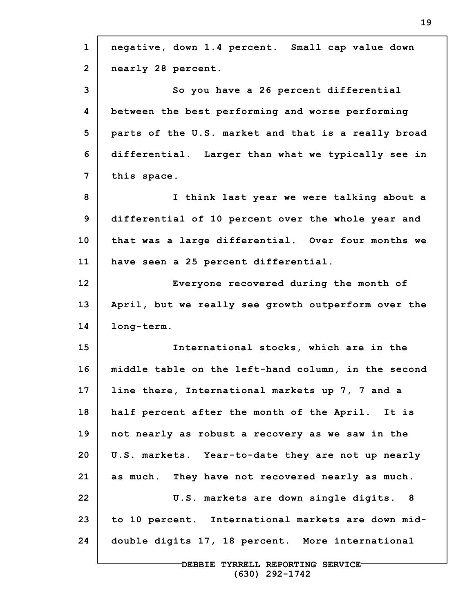| $\mathbf{1}$   | negative, down 1.4 percent. Small cap value down    |
|----------------|-----------------------------------------------------|
| $\overline{2}$ | nearly 28 percent.                                  |
| 3              | So you have a 26 percent differential               |
| 4              | between the best performing and worse performing    |
| 5              | parts of the U.S. market and that is a really broad |
| 6              | differential. Larger than what we typically see in  |
| 7              | this space.                                         |
| 8              | I think last year we were talking about a           |
| $\mathbf{9}$   | differential of 10 percent over the whole year and  |
| 10             | that was a large differential. Over four months we  |
| 11             | have seen a 25 percent differential.                |
| 12             | Everyone recovered during the month of              |
| 13             | April, but we really see growth outperform over the |
| 14             | long-term.                                          |
| 15             | International stocks, which are in the              |
| 16             | middle table on the left-hand column, in the second |
| 17             | line there, International markets up 7, 7 and a     |
| 18             | half percent after the month of the April. It is    |
| 19             | not nearly as robust a recovery as we saw in the    |
| 20             | U.S. markets. Year-to-date they are not up nearly   |
| 21             | as much. They have not recovered nearly as much.    |
| 22             | U.S. markets are down single digits. 8              |
| 23             | to 10 percent. International markets are down mid-  |
| 24             | double digits 17, 18 percent. More international    |
|                |                                                     |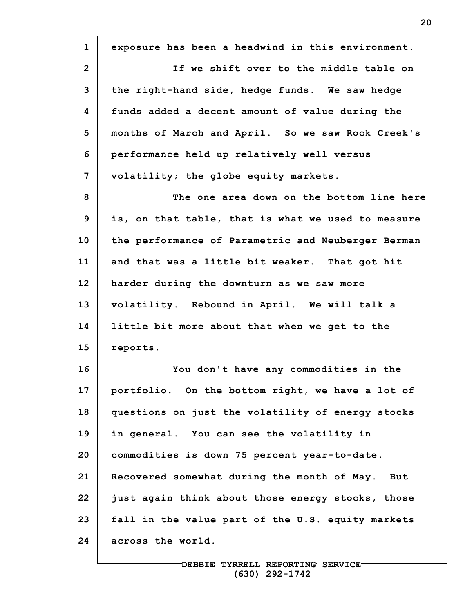| $\mathbf{1}$   | exposure has been a headwind in this environment.  |
|----------------|----------------------------------------------------|
| $\overline{2}$ | If we shift over to the middle table on            |
| 3              | the right-hand side, hedge funds. We saw hedge     |
| 4              | funds added a decent amount of value during the    |
| 5              | months of March and April. So we saw Rock Creek's  |
| 6              | performance held up relatively well versus         |
| 7              | volatility; the globe equity markets.              |
| 8              | The one area down on the bottom line here          |
| 9              | is, on that table, that is what we used to measure |
| 10             | the performance of Parametric and Neuberger Berman |
| 11             | and that was a little bit weaker. That got hit     |
| 12             | harder during the downturn as we saw more          |
| 13             | volatility. Rebound in April. We will talk a       |
| 14             | little bit more about that when we get to the      |
| 15             | reports.                                           |
| 16             | You don't have any commodities in the              |
| 17             | portfolio. On the bottom right, we have a lot of   |
| 18             | questions on just the volatility of energy stocks  |
| 19             | in general. You can see the volatility in          |
| 20             | commodities is down 75 percent year-to-date.       |
| 21             | Recovered somewhat during the month of May. But    |
| 22             | just again think about those energy stocks, those  |
| 23             | fall in the value part of the U.S. equity markets  |
| 24             | across the world.                                  |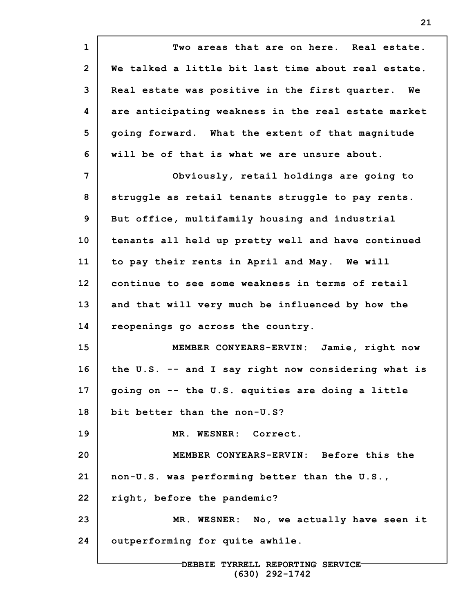**1 2 3 4 5 6 7 8 9 10 11 12 13 14 15 16 17 18 19 20 21 22 23 24 DEBBIE TYRRELL REPORTING SERVICE Two areas that are on here. Real estate. We talked a little bit last time about real estate. Real estate was positive in the first quarter. We are anticipating weakness in the real estate market going forward. What the extent of that magnitude will be of that is what we are unsure about. Obviously, retail holdings are going to struggle as retail tenants struggle to pay rents. But office, multifamily housing and industrial tenants all held up pretty well and have continued to pay their rents in April and May. We will continue to see some weakness in terms of retail and that will very much be influenced by how the reopenings go across the country. MEMBER CONYEARS-ERVIN: Jamie, right now the U.S. -- and I say right now considering what is going on -- the U.S. equities are doing a little bit better than the non-U.S? MR. WESNER: Correct. MEMBER CONYEARS-ERVIN: Before this the non-U.S. was performing better than the U.S., right, before the pandemic? MR. WESNER: No, we actually have seen it outperforming for quite awhile.**

**(630) 292-1742**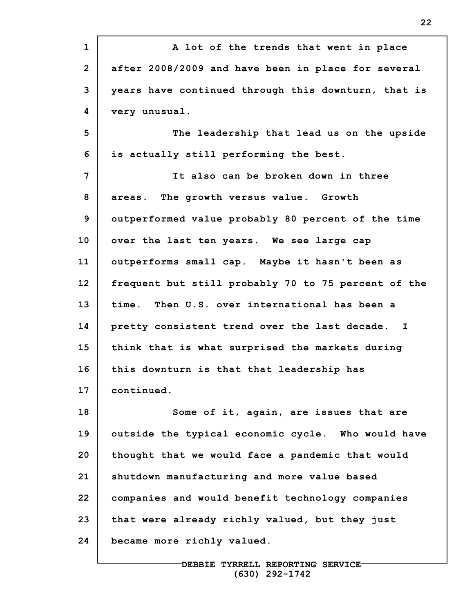| $\mathbf{1}$   | A lot of the trends that went in place              |
|----------------|-----------------------------------------------------|
| $\overline{2}$ | after 2008/2009 and have been in place for several  |
| 3              | years have continued through this downturn, that is |
| 4              | very unusual.                                       |
| 5              | The leadership that lead us on the upside           |
| 6              | is actually still performing the best.              |
| 7              | It also can be broken down in three                 |
| 8              | areas. The growth versus value. Growth              |
| 9              | outperformed value probably 80 percent of the time  |
| 10             | over the last ten years. We see large cap           |
| 11             | outperforms small cap. Maybe it hasn't been as      |
| 12             | frequent but still probably 70 to 75 percent of the |
| 13             | time. Then U.S. over international has been a       |
| 14             | pretty consistent trend over the last decade. I     |
| 15             | think that is what surprised the markets during     |
| 16             | this downturn is that that leadership has           |
| 17             | continued.                                          |
| 18             | Some of it, again, are issues that are              |
| 19             | outside the typical economic cycle. Who would have  |
| 20             | thought that we would face a pandemic that would    |
| 21             | shutdown manufacturing and more value based         |
| 22             | companies and would benefit technology companies    |
| 23             | that were already richly valued, but they just      |
| 24             | became more richly valued.                          |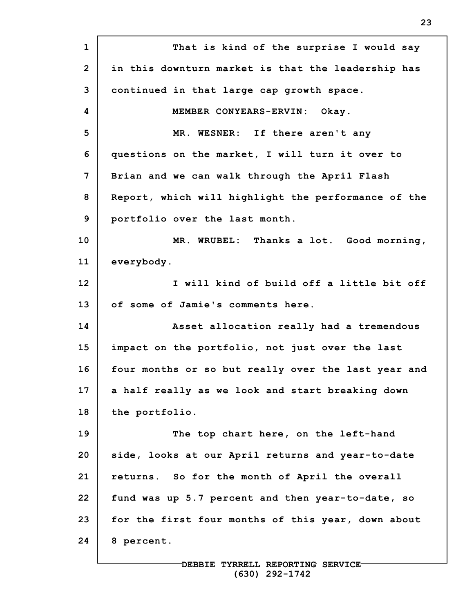**1 2 3 4 5 6 7 8 9 10 11 12 13 14 15 16 17 18 19 20 21 22 23 24 That is kind of the surprise I would say in this downturn market is that the leadership has continued in that large cap growth space. MEMBER CONYEARS-ERVIN: Okay. MR. WESNER: If there aren't any questions on the market, I will turn it over to Brian and we can walk through the April Flash Report, which will highlight the performance of the portfolio over the last month. MR. WRUBEL: Thanks a lot. Good morning, everybody. I will kind of build off a little bit off of some of Jamie's comments here. Asset allocation really had a tremendous impact on the portfolio, not just over the last four months or so but really over the last year and a half really as we look and start breaking down the portfolio. The top chart here, on the left-hand side, looks at our April returns and year-to-date returns. So for the month of April the overall fund was up 5.7 percent and then year-to-date, so for the first four months of this year, down about 8 percent.**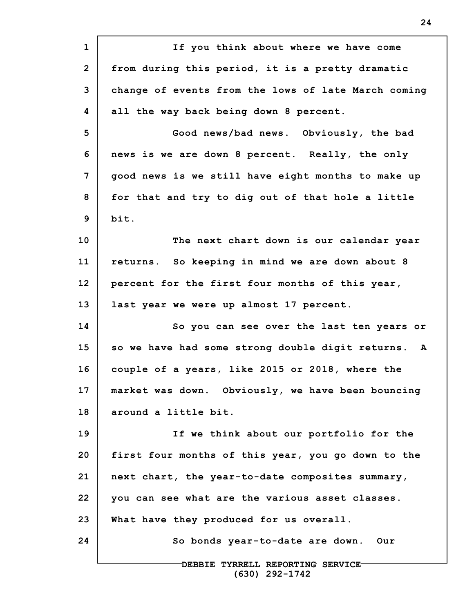**1 2 3 4 5 6 7 8 9 10 11 12 13 14 15 16 17 18 19 20 21 22 23 24 DEBBIE TYRRELL REPORTING SERVICE If you think about where we have come from during this period, it is a pretty dramatic change of events from the lows of late March coming all the way back being down 8 percent. Good news/bad news. Obviously, the bad news is we are down 8 percent. Really, the only good news is we still have eight months to make up for that and try to dig out of that hole a little bit. The next chart down is our calendar year returns. So keeping in mind we are down about 8 percent for the first four months of this year, last year we were up almost 17 percent. So you can see over the last ten years or so we have had some strong double digit returns. A couple of a years, like 2015 or 2018, where the market was down. Obviously, we have been bouncing around a little bit. If we think about our portfolio for the first four months of this year, you go down to the next chart, the year-to-date composites summary, you can see what are the various asset classes. What have they produced for us overall. So bonds year-to-date are down. Our**

**(630) 292-1742**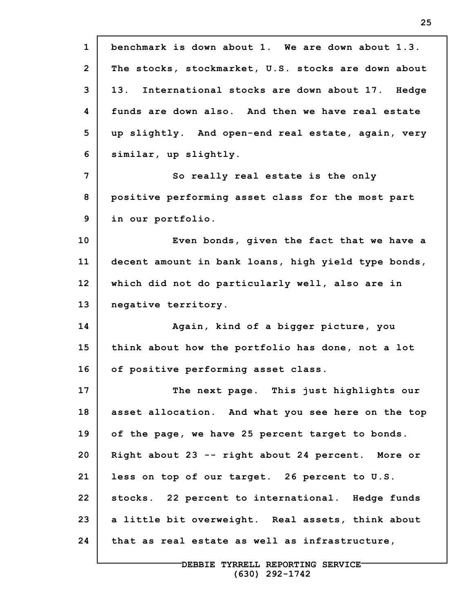| $\mathbf{1}$   | benchmark is down about 1. We are down about 1.3.    |
|----------------|------------------------------------------------------|
| $\overline{2}$ | The stocks, stockmarket, U.S. stocks are down about  |
| 3              | International stocks are down about 17. Hedge<br>13. |
| 4              | funds are down also. And then we have real estate    |
| 5              | up slightly. And open-end real estate, again, very   |
| 6              | similar, up slightly.                                |
| 7              | So really real estate is the only                    |
| 8              | positive performing asset class for the most part    |
| 9              | in our portfolio.                                    |
| 10             | Even bonds, given the fact that we have a            |
| 11             | decent amount in bank loans, high yield type bonds,  |
| 12             | which did not do particularly well, also are in      |
| 13             | negative territory.                                  |
| 14             | Again, kind of a bigger picture, you                 |
| 15             | think about how the portfolio has done, not a lot    |
| 16             | of positive performing asset class.                  |
| 17             | The next page. This just highlights our              |
| 18             | asset allocation. And what you see here on the top   |
| 19             | of the page, we have 25 percent target to bonds.     |
| 20             | Right about 23 -- right about 24 percent. More or    |
| 21             | less on top of our target. 26 percent to U.S.        |
| 22             | stocks. 22 percent to international. Hedge funds     |
| 23             |                                                      |
|                | a little bit overweight. Real assets, think about    |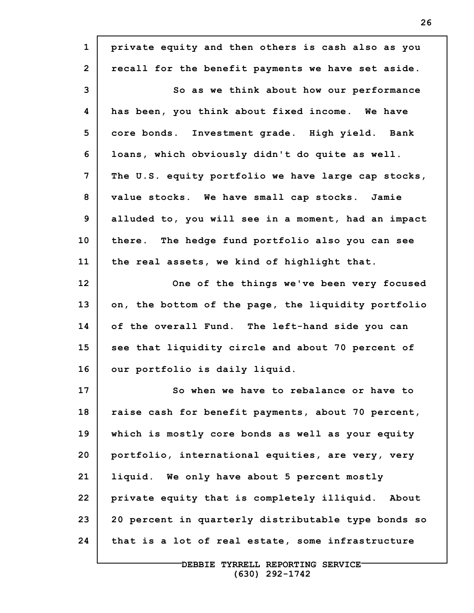| $\mathbf{1}$   | private equity and then others is cash also as you  |
|----------------|-----------------------------------------------------|
| $\overline{2}$ | recall for the benefit payments we have set aside.  |
| 3              | So as we think about how our performance            |
| 4              | has been, you think about fixed income. We have     |
| 5              | core bonds. Investment grade. High yield. Bank      |
| 6              | loans, which obviously didn't do quite as well.     |
| 7              | The U.S. equity portfolio we have large cap stocks, |
| 8              | value stocks. We have small cap stocks. Jamie       |
| 9              | alluded to, you will see in a moment, had an impact |
| 10             | there. The hedge fund portfolio also you can see    |
| 11             | the real assets, we kind of highlight that.         |
| 12             | One of the things we've been very focused           |
| 13             | on, the bottom of the page, the liquidity portfolio |
| 14             | of the overall Fund. The left-hand side you can     |
| 15             | see that liquidity circle and about 70 percent of   |
| 16             | our portfolio is daily liquid.                      |
| 17             | So when we have to rebalance or have to             |
| 18             | raise cash for benefit payments, about 70 percent,  |
| 19             | which is mostly core bonds as well as your equity   |
| 20             | portfolio, international equities, are very, very   |
| 21             | liquid. We only have about 5 percent mostly         |
| 22             | private equity that is completely illiquid. About   |
| 23             | 20 percent in quarterly distributable type bonds so |
| 24             | that is a lot of real estate, some infrastructure   |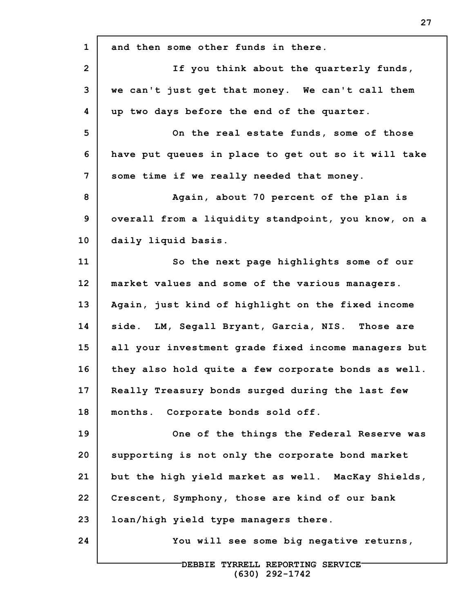| $\mathbf{1}$   | and then some other funds in there.                 |
|----------------|-----------------------------------------------------|
| $\overline{2}$ | If you think about the quarterly funds,             |
| 3              | we can't just get that money. We can't call them    |
| 4              | up two days before the end of the quarter.          |
| 5              | On the real estate funds, some of those             |
| 6              | have put queues in place to get out so it will take |
| 7              | some time if we really needed that money.           |
| 8              | Again, about 70 percent of the plan is              |
| 9              | overall from a liquidity standpoint, you know, on a |
| 10             | daily liquid basis.                                 |
| 11             | So the next page highlights some of our             |
| 12             | market values and some of the various managers.     |
| 13             | Again, just kind of highlight on the fixed income   |
| 14             | side. LM, Segall Bryant, Garcia, NIS. Those are     |
| 15             | all your investment grade fixed income managers but |
| 16             | they also hold quite a few corporate bonds as well. |
| 17             | Really Treasury bonds surged during the last few    |
| 18             | months. Corporate bonds sold off.                   |
| 19             | One of the things the Federal Reserve was           |
| 20             | supporting is not only the corporate bond market    |
| 21             | but the high yield market as well. MacKay Shields,  |
| 22             | Crescent, Symphony, those are kind of our bank      |
| 23             | loan/high yield type managers there.                |
| 24             | You will see some big negative returns,             |
|                | DEBBIE TYRRELL REPORTING SERVICE-                   |

**(630) 292-1742**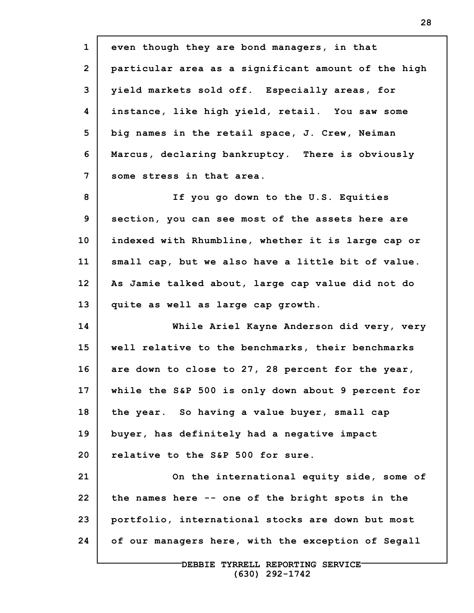**1 2 3 4 5 6 7 8 9 10 11 12 13 14 15 16 17 18 19 20 21 22 23 24 even though they are bond managers, in that particular area as a significant amount of the high yield markets sold off. Especially areas, for instance, like high yield, retail. You saw some big names in the retail space, J. Crew, Neiman Marcus, declaring bankruptcy. There is obviously some stress in that area. If you go down to the U.S. Equities section, you can see most of the assets here are indexed with Rhumbline, whether it is large cap or small cap, but we also have a little bit of value. As Jamie talked about, large cap value did not do quite as well as large cap growth. While Ariel Kayne Anderson did very, very well relative to the benchmarks, their benchmarks are down to close to 27, 28 percent for the year, while the S&P 500 is only down about 9 percent for the year. So having a value buyer, small cap buyer, has definitely had a negative impact relative to the S&P 500 for sure. On the international equity side, some of the names here -- one of the bright spots in the portfolio, international stocks are down but most of our managers here, with the exception of Segall**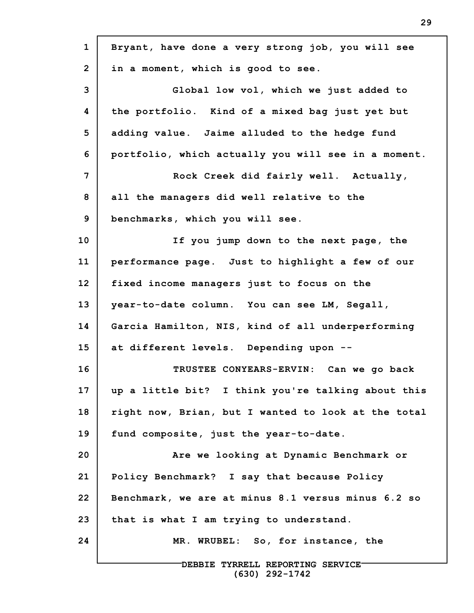| $\mathbf{1}$   | Bryant, have done a very strong job, you will see   |
|----------------|-----------------------------------------------------|
| $\overline{2}$ | in a moment, which is good to see.                  |
| 3              | Global low vol, which we just added to              |
| 4              | the portfolio. Kind of a mixed bag just yet but     |
| 5              | adding value. Jaime alluded to the hedge fund       |
| 6              | portfolio, which actually you will see in a moment. |
| 7              | Rock Creek did fairly well. Actually,               |
| 8              | all the managers did well relative to the           |
| 9              | benchmarks, which you will see.                     |
| 10             | If you jump down to the next page, the              |
| 11             | performance page. Just to highlight a few of our    |
| 12             | fixed income managers just to focus on the          |
| 13             | year-to-date column. You can see LM, Segall,        |
| 14             | Garcia Hamilton, NIS, kind of all underperforming   |
| 15             | at different levels. Depending upon --              |
| 16             | TRUSTEE CONYEARS-ERVIN: Can we go back              |
| 17             | up a little bit? I think you're talking about this  |
| 18             | right now, Brian, but I wanted to look at the total |
| 19             | fund composite, just the year-to-date.              |
| 20             | Are we looking at Dynamic Benchmark or              |
| 21             | Policy Benchmark? I say that because Policy         |
| 22             | Benchmark, we are at minus 8.1 versus minus 6.2 so  |
| 23             | that is what I am trying to understand.             |
| 24             | MR. WRUBEL: So, for instance, the                   |
|                | DEBBIE TYRRELL REPORTING SERVICE-                   |

**(630) 292-1742**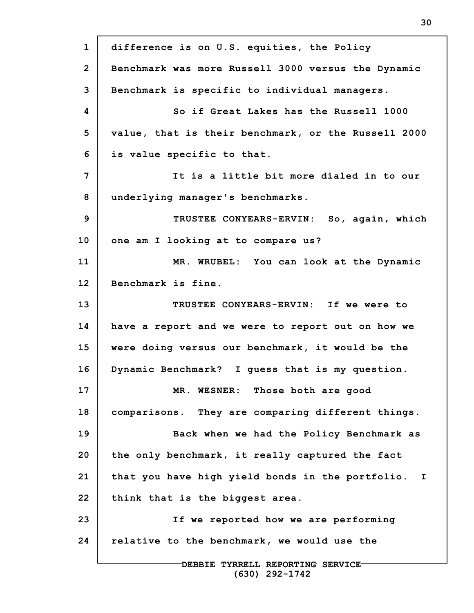**1 2 3 4 5 6 7 8 9 10 11 12 13 14 15 16 17 18 19 20 21 22 23 24 DEBBIE TYRRELL REPORTING SERVICE difference is on U.S. equities, the Policy Benchmark was more Russell 3000 versus the Dynamic Benchmark is specific to individual managers. So if Great Lakes has the Russell 1000 value, that is their benchmark, or the Russell 2000 is value specific to that. It is a little bit more dialed in to our underlying manager's benchmarks. TRUSTEE CONYEARS-ERVIN: So, again, which one am I looking at to compare us? MR. WRUBEL: You can look at the Dynamic Benchmark is fine. TRUSTEE CONYEARS-ERVIN: If we were to have a report and we were to report out on how we were doing versus our benchmark, it would be the Dynamic Benchmark? I guess that is my question. MR. WESNER: Those both are good comparisons. They are comparing different things. Back when we had the Policy Benchmark as the only benchmark, it really captured the fact that you have high yield bonds in the portfolio. I think that is the biggest area. If we reported how we are performing relative to the benchmark, we would use the**

**(630) 292-1742**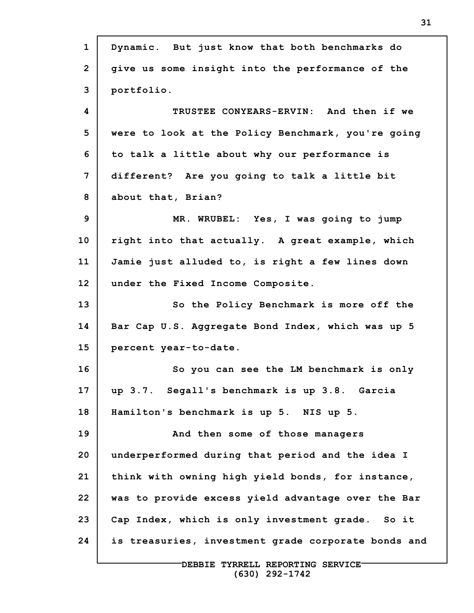| $\mathbf{1}$   | Dynamic. But just know that both benchmarks do      |
|----------------|-----------------------------------------------------|
| $\overline{2}$ | give us some insight into the performance of the    |
| 3              | portfolio.                                          |
| 4              | TRUSTEE CONYEARS-ERVIN: And then if we              |
| 5              | were to look at the Policy Benchmark, you're going  |
| 6              | to talk a little about why our performance is       |
| 7              | different? Are you going to talk a little bit       |
| 8              | about that, Brian?                                  |
| 9              | MR. WRUBEL: Yes, I was going to jump                |
| 10             | right into that actually. A great example, which    |
| 11             | Jamie just alluded to, is right a few lines down    |
| 12             | under the Fixed Income Composite.                   |
| 13             | So the Policy Benchmark is more off the             |
| 14             | Bar Cap U.S. Aggregate Bond Index, which was up 5   |
| 15             | percent year-to-date.                               |
| 16             | So you can see the LM benchmark is only             |
| 17             | up 3.7. Segall's benchmark is up 3.8. Garcia        |
| 18             | Hamilton's benchmark is up 5. NIS up 5.             |
| 19             | And then some of those managers                     |
| 20             | underperformed during that period and the idea I    |
| 21             | think with owning high yield bonds, for instance,   |
| 22             | was to provide excess yield advantage over the Bar  |
| 23             | Cap Index, which is only investment grade. So it    |
| 24             | is treasuries, investment grade corporate bonds and |
|                |                                                     |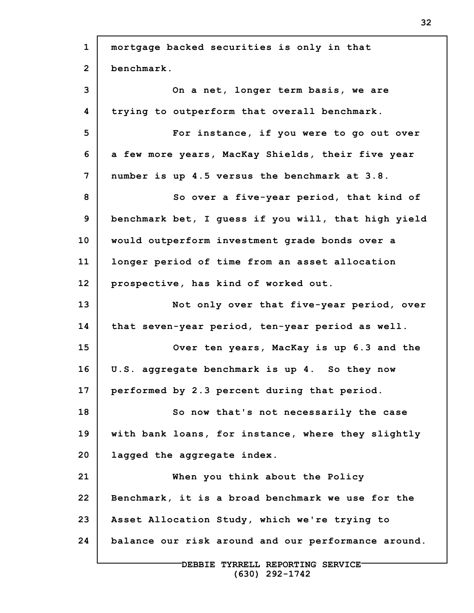| $\mathbf{1}$ | mortgage backed securities is only in that          |
|--------------|-----------------------------------------------------|
| $\mathbf{2}$ | benchmark.                                          |
| 3            | On a net, longer term basis, we are                 |
| 4            | trying to outperform that overall benchmark.        |
| 5            | For instance, if you were to go out over            |
| 6            | a few more years, MacKay Shields, their five year   |
| 7            | number is up 4.5 versus the benchmark at 3.8.       |
| 8            | So over a five-year period, that kind of            |
| 9            | benchmark bet, I guess if you will, that high yield |
| 10           | would outperform investment grade bonds over a      |
| 11           | longer period of time from an asset allocation      |
| 12           | prospective, has kind of worked out.                |
| 13           | Not only over that five-year period, over           |
| 14           | that seven-year period, ten-year period as well.    |
| 15           | Over ten years, MacKay is up 6.3 and the            |
| 16           | U.S. aggregate benchmark is up 4. So they now       |
| 17           | performed by 2.3 percent during that period.        |
| 18           | So now that's not necessarily the case              |
| 19           | with bank loans, for instance, where they slightly  |
| 20           | lagged the aggregate index.                         |
| 21           | When you think about the Policy                     |
| 22           | Benchmark, it is a broad benchmark we use for the   |
| 23           | Asset Allocation Study, which we're trying to       |
| 24           | balance our risk around and our performance around. |
|              | DEBBIE TYRRELL REPORTING SERVICE-                   |

**(630) 292-1742**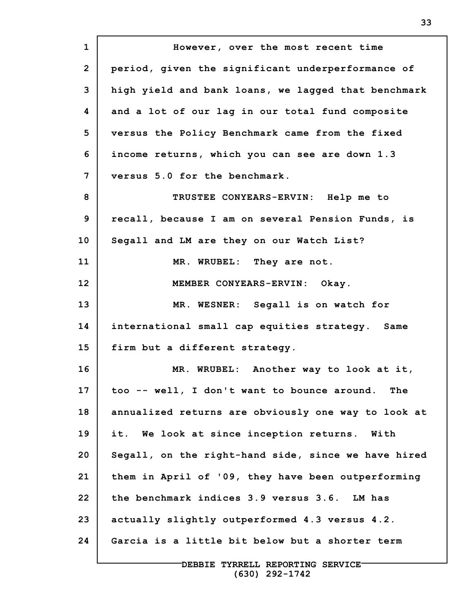**1 2 3 4 5 6 7 8 9 10 11 12 13 14 15 16 17 18 19 20 21 22 23 24 However, over the most recent time period, given the significant underperformance of high yield and bank loans, we lagged that benchmark and a lot of our lag in our total fund composite versus the Policy Benchmark came from the fixed income returns, which you can see are down 1.3 versus 5.0 for the benchmark. TRUSTEE CONYEARS-ERVIN: Help me to recall, because I am on several Pension Funds, is Segall and LM are they on our Watch List? MR. WRUBEL: They are not. MEMBER CONYEARS-ERVIN: Okay. MR. WESNER: Segall is on watch for international small cap equities strategy. Same firm but a different strategy. MR. WRUBEL: Another way to look at it, too -- well, I don't want to bounce around. The annualized returns are obviously one way to look at it. We look at since inception returns. With Segall, on the right-hand side, since we have hired them in April of '09, they have been outperforming the benchmark indices 3.9 versus 3.6. LM has actually slightly outperformed 4.3 versus 4.2. Garcia is a little bit below but a shorter term**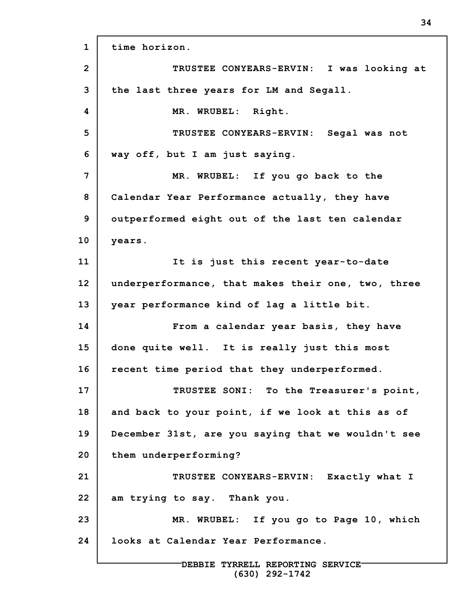**1 2 3 4 5 6 7 8 9 10 11 12 13 14 15 16 17 18 19 20 21 22 23 24 DEBBIE TYRRELL REPORTING SERVICE time horizon. TRUSTEE CONYEARS-ERVIN: I was looking at the last three years for LM and Segall. MR. WRUBEL: Right. TRUSTEE CONYEARS-ERVIN: Segal was not way off, but I am just saying. MR. WRUBEL: If you go back to the Calendar Year Performance actually, they have outperformed eight out of the last ten calendar years. It is just this recent year-to-date underperformance, that makes their one, two, three year performance kind of lag a little bit. From a calendar year basis, they have done quite well. It is really just this most recent time period that they underperformed. TRUSTEE SONI: To the Treasurer's point, and back to your point, if we look at this as of December 31st, are you saying that we wouldn't see them underperforming? TRUSTEE CONYEARS-ERVIN: Exactly what I am trying to say. Thank you. MR. WRUBEL: If you go to Page 10, which looks at Calendar Year Performance.**

**(630) 292-1742**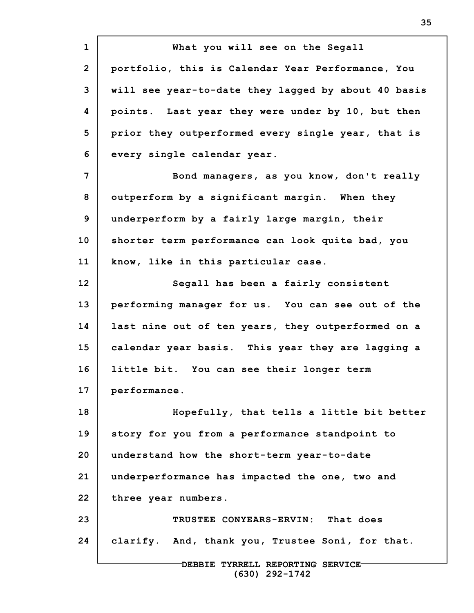**1 2 3 4 5 6 7 8 9 10 11 12 13 14 15 16 17 18 19 20 21 22 23 24 DEBBIE TYRRELL REPORTING SERVICE What you will see on the Segall portfolio, this is Calendar Year Performance, You will see year-to-date they lagged by about 40 basis points. Last year they were under by 10, but then prior they outperformed every single year, that is every single calendar year. Bond managers, as you know, don't really outperform by a significant margin. When they underperform by a fairly large margin, their shorter term performance can look quite bad, you know, like in this particular case. Segall has been a fairly consistent performing manager for us. You can see out of the last nine out of ten years, they outperformed on a calendar year basis. This year they are lagging a little bit. You can see their longer term performance. Hopefully, that tells a little bit better story for you from a performance standpoint to understand how the short-term year-to-date underperformance has impacted the one, two and three year numbers. TRUSTEE CONYEARS-ERVIN: That does clarify. And, thank you, Trustee Soni, for that.**

**(630) 292-1742**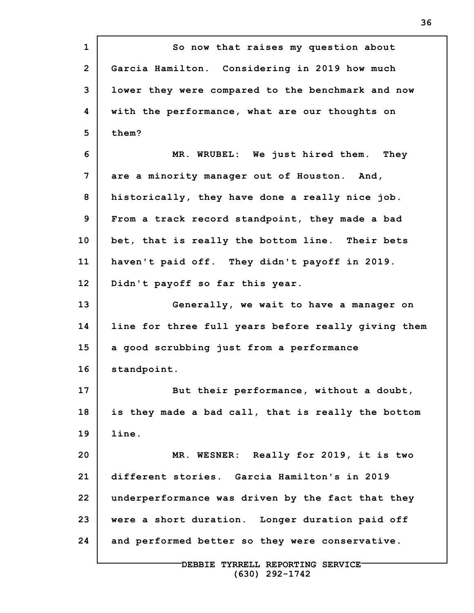**1 2 3 4 5 6 7 8 9 10 11 12 13 14 15 16 17 18 19 20 21 22 23 24 So now that raises my question about Garcia Hamilton. Considering in 2019 how much lower they were compared to the benchmark and now with the performance, what are our thoughts on them? MR. WRUBEL: We just hired them. They are a minority manager out of Houston. And, historically, they have done a really nice job. From a track record standpoint, they made a bad bet, that is really the bottom line. Their bets haven't paid off. They didn't payoff in 2019. Didn't payoff so far this year. Generally, we wait to have a manager on line for three full years before really giving them a good scrubbing just from a performance standpoint. But their performance, without a doubt, is they made a bad call, that is really the bottom line. MR. WESNER: Really for 2019, it is two different stories. Garcia Hamilton's in 2019 underperformance was driven by the fact that they were a short duration. Longer duration paid off and performed better so they were conservative.**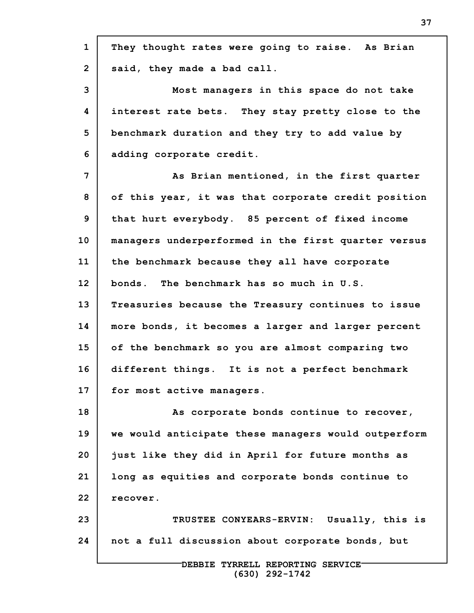| $\mathbf{1}$   | They thought rates were going to raise. As Brian    |
|----------------|-----------------------------------------------------|
| $\overline{2}$ | said, they made a bad call.                         |
| 3              | Most managers in this space do not take             |
| 4              | interest rate bets. They stay pretty close to the   |
| 5              | benchmark duration and they try to add value by     |
| 6              | adding corporate credit.                            |
| 7              | As Brian mentioned, in the first quarter            |
| 8              | of this year, it was that corporate credit position |
| 9              | that hurt everybody. 85 percent of fixed income     |
| 10             | managers underperformed in the first quarter versus |
| 11             | the benchmark because they all have corporate       |
| 12             | bonds. The benchmark has so much in U.S.            |
| 13             | Treasuries because the Treasury continues to issue  |
| 14             | more bonds, it becomes a larger and larger percent  |
| 15             | of the benchmark so you are almost comparing two    |
| 16             | different things. It is not a perfect benchmark     |
| 17             | for most active managers.                           |
| 18             | As corporate bonds continue to recover,             |
| 19             | we would anticipate these managers would outperform |
| 20             | just like they did in April for future months as    |
| 21             | long as equities and corporate bonds continue to    |
| 22             | recover.                                            |
| 23             | TRUSTEE CONYEARS-ERVIN: Usually, this is            |
| 24             | not a full discussion about corporate bonds, but    |
|                | DEBBIE TYRRELL REPORTING SERVICE-                   |

**(630) 292-1742**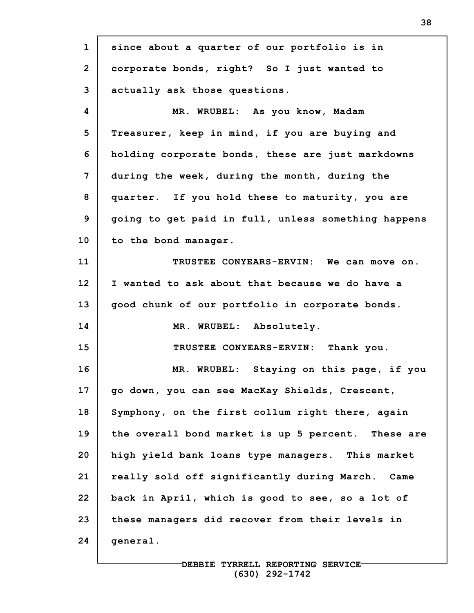| $\mathbf{1}$    | since about a quarter of our portfolio is in        |
|-----------------|-----------------------------------------------------|
| $\overline{2}$  | corporate bonds, right? So I just wanted to         |
| 3               | actually ask those questions.                       |
| 4               | MR. WRUBEL: As you know, Madam                      |
| 5               | Treasurer, keep in mind, if you are buying and      |
| 6               | holding corporate bonds, these are just markdowns   |
| 7               | during the week, during the month, during the       |
| 8               | quarter. If you hold these to maturity, you are     |
| 9               | going to get paid in full, unless something happens |
| 10              | to the bond manager.                                |
| 11              | TRUSTEE CONYEARS-ERVIN: We can move on.             |
| 12 <sub>2</sub> | I wanted to ask about that because we do have a     |
| 13              | good chunk of our portfolio in corporate bonds.     |
| 14              | MR. WRUBEL: Absolutely.                             |
| 15              | TRUSTEE CONYEARS-ERVIN: Thank you.                  |
| 16              | MR. WRUBEL: Staying on this page, if you            |
| 17              | go down, you can see MacKay Shields, Crescent,      |
| 18              | Symphony, on the first collum right there, again    |
| 19              | the overall bond market is up 5 percent. These are  |
| 20              | high yield bank loans type managers. This market    |
| 21              | really sold off significantly during March. Came    |
| 22              | back in April, which is good to see, so a lot of    |
| 23              | these managers did recover from their levels in     |
| 24              | general.                                            |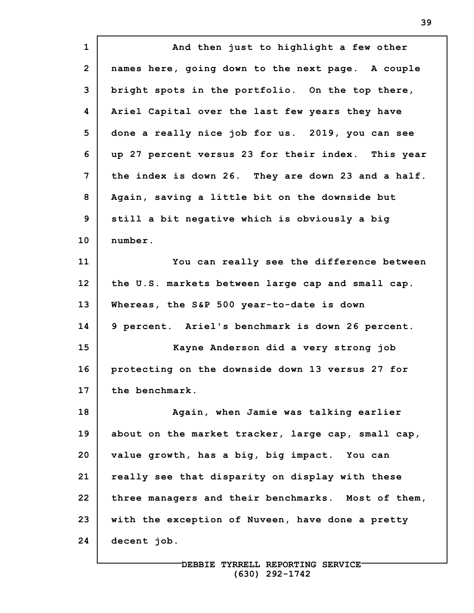**1 2 3 4 5 6 7 8 9 10 11 12 13 14 15 16 17 18 19 20 21 22 23 24 And then just to highlight a few other names here, going down to the next page. A couple bright spots in the portfolio. On the top there, Ariel Capital over the last few years they have done a really nice job for us. 2019, you can see up 27 percent versus 23 for their index. This year the index is down 26. They are down 23 and a half. Again, saving a little bit on the downside but still a bit negative which is obviously a big number. You can really see the difference between the U.S. markets between large cap and small cap. Whereas, the S&P 500 year-to-date is down 9 percent. Ariel's benchmark is down 26 percent. Kayne Anderson did a very strong job protecting on the downside down 13 versus 27 for the benchmark. Again, when Jamie was talking earlier about on the market tracker, large cap, small cap, value growth, has a big, big impact. You can really see that disparity on display with these three managers and their benchmarks. Most of them, with the exception of Nuveen, have done a pretty decent job.**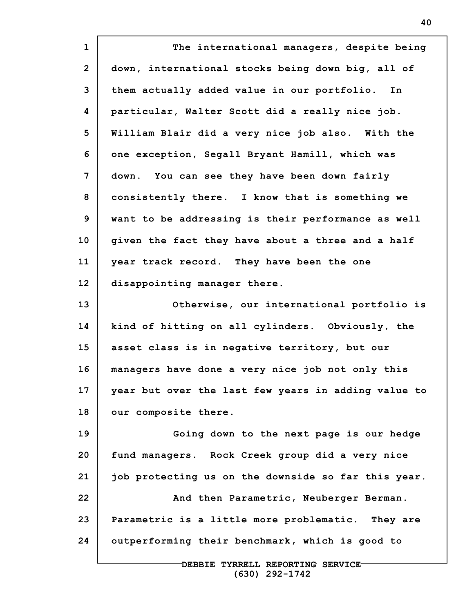**1 2 3 4 5 6 7 8 9 10 11 12 13 14 15 16 17 18 19 20 21 22 23 24 DEBBIE TYRRELL REPORTING SERVICE The international managers, despite being down, international stocks being down big, all of them actually added value in our portfolio. In particular, Walter Scott did a really nice job. William Blair did a very nice job also. With the one exception, Segall Bryant Hamill, which was down. You can see they have been down fairly consistently there. I know that is something we want to be addressing is their performance as well given the fact they have about a three and a half year track record. They have been the one disappointing manager there. Otherwise, our international portfolio is kind of hitting on all cylinders. Obviously, the asset class is in negative territory, but our managers have done a very nice job not only this year but over the last few years in adding value to our composite there. Going down to the next page is our hedge fund managers. Rock Creek group did a very nice job protecting us on the downside so far this year. And then Parametric, Neuberger Berman. Parametric is a little more problematic. They are outperforming their benchmark, which is good to**

**(630) 292-1742**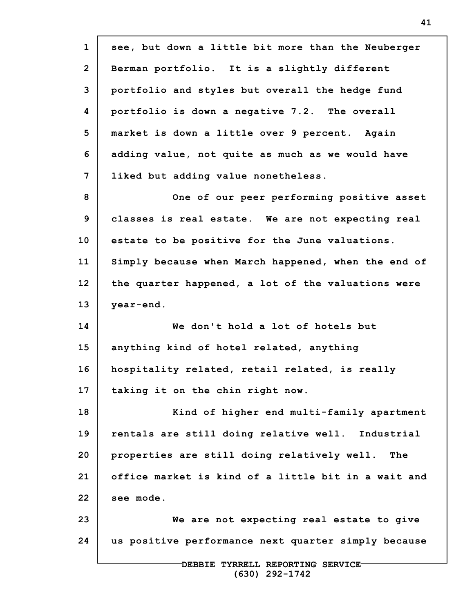**1 2 3 4 5 6 7 8 9 10 11 12 13 14 15 16 17 18 19 20 21 22 23 24 DEBBIE TYRRELL REPORTING SERVICE see, but down a little bit more than the Neuberger Berman portfolio. It is a slightly different portfolio and styles but overall the hedge fund portfolio is down a negative 7.2. The overall market is down a little over 9 percent. Again adding value, not quite as much as we would have liked but adding value nonetheless. One of our peer performing positive asset classes is real estate. We are not expecting real estate to be positive for the June valuations. Simply because when March happened, when the end of the quarter happened, a lot of the valuations were year-end. We don't hold a lot of hotels but anything kind of hotel related, anything hospitality related, retail related, is really taking it on the chin right now. Kind of higher end multi-family apartment rentals are still doing relative well. Industrial properties are still doing relatively well. The office market is kind of a little bit in a wait and see mode. We are not expecting real estate to give us positive performance next quarter simply because**

**(630) 292-1742**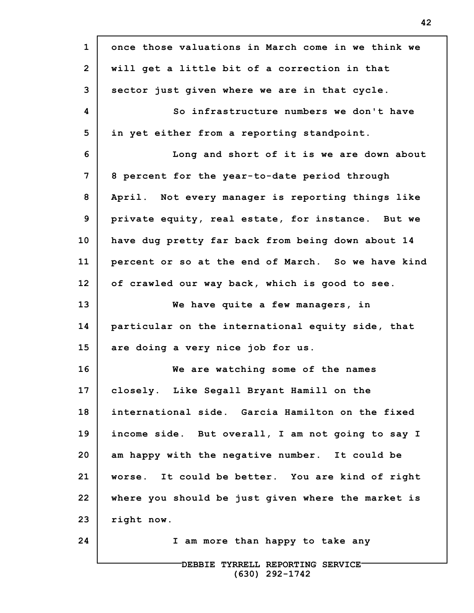| $\mathbf{1}$   | once those valuations in March come in we think we |
|----------------|----------------------------------------------------|
| $\overline{2}$ | will get a little bit of a correction in that      |
| $\mathbf{3}$   | sector just given where we are in that cycle.      |
| 4              | So infrastructure numbers we don't have            |
| 5              | in yet either from a reporting standpoint.         |
| 6              | Long and short of it is we are down about          |
| 7              | 8 percent for the year-to-date period through      |
| 8              | April. Not every manager is reporting things like  |
| 9              | private equity, real estate, for instance. But we  |
| 10             | have dug pretty far back from being down about 14  |
| 11             | percent or so at the end of March. So we have kind |
| 12             | of crawled our way back, which is good to see.     |
| 13             | We have quite a few managers, in                   |
| 14             | particular on the international equity side, that  |
| 15             | are doing a very nice job for us.                  |
| 16             | We are watching some of the names                  |
| 17             | closely. Like Segall Bryant Hamill on the          |
| 18             | international side. Garcia Hamilton on the fixed   |
| 19             | income side. But overall, I am not going to say I  |
| 20             | am happy with the negative number. It could be     |
| 21             | worse. It could be better. You are kind of right   |
| 22             | where you should be just given where the market is |
| 23             | right now.                                         |
| 24             | I am more than happy to take any                   |
|                |                                                    |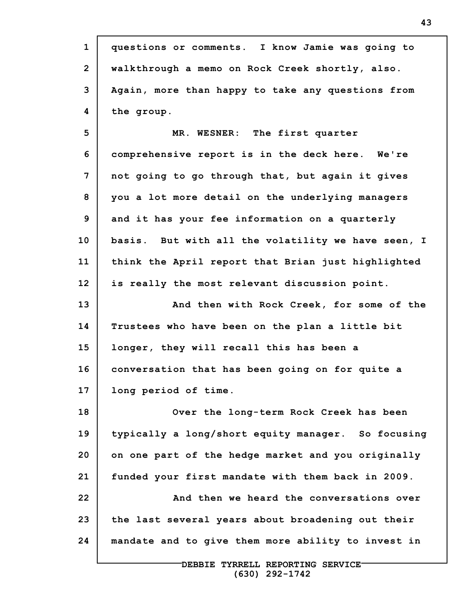**1 2 3 4 5 6 7 8 9 10 11 12 13 14 15 16 17 18 19 20 21 22 23 24 questions or comments. I know Jamie was going to walkthrough a memo on Rock Creek shortly, also. Again, more than happy to take any questions from the group. MR. WESNER: The first quarter comprehensive report is in the deck here. We're not going to go through that, but again it gives you a lot more detail on the underlying managers and it has your fee information on a quarterly basis. But with all the volatility we have seen, I think the April report that Brian just highlighted is really the most relevant discussion point. And then with Rock Creek, for some of the Trustees who have been on the plan a little bit longer, they will recall this has been a conversation that has been going on for quite a long period of time. Over the long-term Rock Creek has been typically a long/short equity manager. So focusing on one part of the hedge market and you originally funded your first mandate with them back in 2009. And then we heard the conversations over the last several years about broadening out their mandate and to give them more ability to invest in**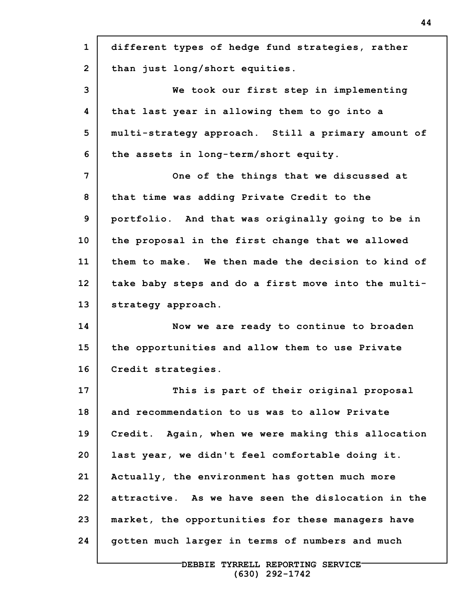| $\mathbf{1}$   | different types of hedge fund strategies, rather    |
|----------------|-----------------------------------------------------|
| $\overline{2}$ | than just long/short equities.                      |
| 3              | We took our first step in implementing              |
| 4              | that last year in allowing them to go into a        |
| 5              | multi-strategy approach. Still a primary amount of  |
| 6              | the assets in long-term/short equity.               |
| $\overline{7}$ | One of the things that we discussed at              |
| 8              | that time was adding Private Credit to the          |
| 9              | portfolio. And that was originally going to be in   |
| 10             | the proposal in the first change that we allowed    |
| 11             | them to make. We then made the decision to kind of  |
| 12             | take baby steps and do a first move into the multi- |
| 13             | strategy approach.                                  |
| 14             | Now we are ready to continue to broaden             |
| 15             | the opportunities and allow them to use Private     |
| 16             | Credit strategies.                                  |
| 17             | This is part of their original proposal             |
| 18             | and recommendation to us was to allow Private       |
| 19             | Credit. Again, when we were making this allocation  |
| 20             | last year, we didn't feel comfortable doing it.     |
| 21             | Actually, the environment has gotten much more      |
| 22             | attractive. As we have seen the dislocation in the  |
| 23             | market, the opportunities for these managers have   |
| 24             | gotten much larger in terms of numbers and much     |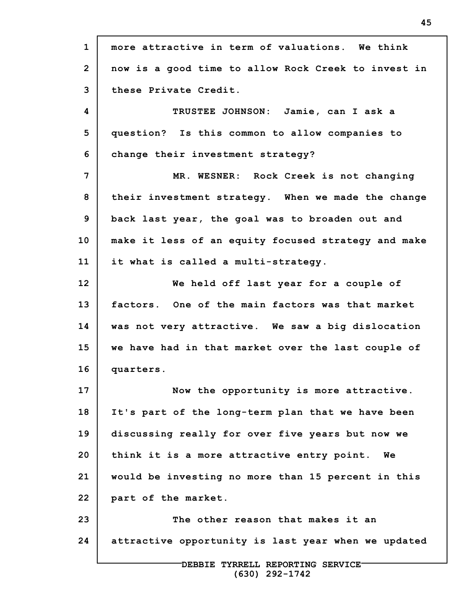**1 2 3 4 5 6 7 8 9 10 11 12 13 14 15 16 17 18 19 20 21 22 23 24 DEBBIE TYRRELL REPORTING SERVICE more attractive in term of valuations. We think now is a good time to allow Rock Creek to invest in these Private Credit. TRUSTEE JOHNSON: Jamie, can I ask a question? Is this common to allow companies to change their investment strategy? MR. WESNER: Rock Creek is not changing their investment strategy. When we made the change back last year, the goal was to broaden out and make it less of an equity focused strategy and make it what is called a multi-strategy. We held off last year for a couple of factors. One of the main factors was that market was not very attractive. We saw a big dislocation we have had in that market over the last couple of quarters. Now the opportunity is more attractive. It's part of the long-term plan that we have been discussing really for over five years but now we think it is a more attractive entry point. We would be investing no more than 15 percent in this part of the market. The other reason that makes it an attractive opportunity is last year when we updated**

**45**

**(630) 292-1742**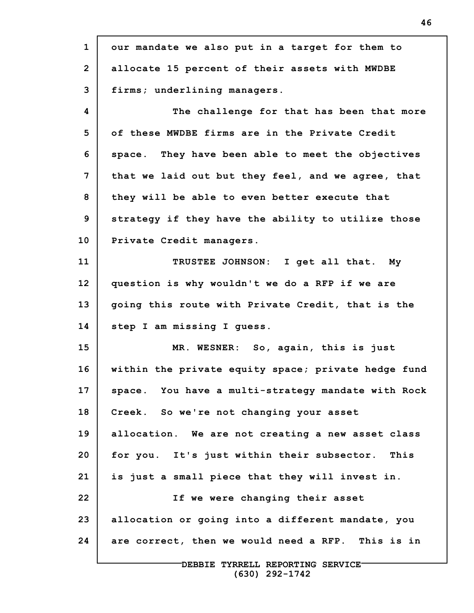| $\mathbf{1}$   | our mandate we also put in a target for them to     |
|----------------|-----------------------------------------------------|
| $\overline{2}$ | allocate 15 percent of their assets with MWDBE      |
| 3              | firms; underlining managers.                        |
| 4              | The challenge for that has been that more           |
| 5              | of these MWDBE firms are in the Private Credit      |
| 6              | space. They have been able to meet the objectives   |
| 7              | that we laid out but they feel, and we agree, that  |
| 8              | they will be able to even better execute that       |
| 9              | strategy if they have the ability to utilize those  |
| 10             | Private Credit managers.                            |
| 11             | TRUSTEE JOHNSON: I get all that. My                 |
| 12             | question is why wouldn't we do a RFP if we are      |
| 13             | going this route with Private Credit, that is the   |
| 14             | step I am missing I guess.                          |
| 15             | MR. WESNER: So, again, this is just                 |
| 16             | within the private equity space; private hedge fund |
| 17             | space. You have a multi-strategy mandate with Rock  |
| 18             | Creek. So we're not changing your asset             |
| 19             | allocation. We are not creating a new asset class   |
| 20             | for you. It's just within their subsector. This     |
| 21             | is just a small piece that they will invest in.     |
| 22             | If we were changing their asset                     |
| 23             | allocation or going into a different mandate, you   |
| 24             | are correct, then we would need a RFP. This is in   |
|                |                                                     |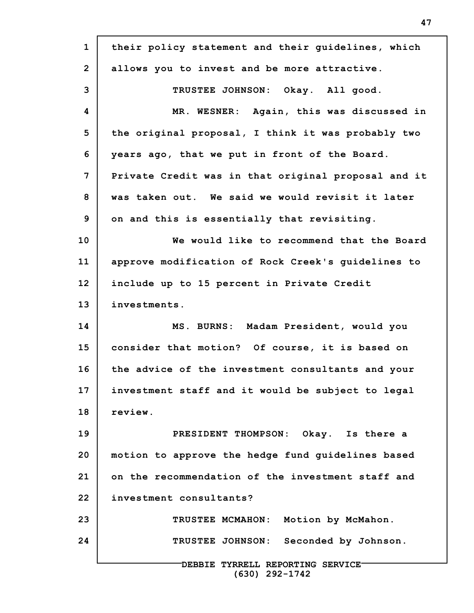| $\mathbf{1}$   | their policy statement and their guidelines, which   |
|----------------|------------------------------------------------------|
| $\overline{2}$ | allows you to invest and be more attractive.         |
| 3              | TRUSTEE JOHNSON: Okay. All good.                     |
| 4              | MR. WESNER: Again, this was discussed in             |
| 5              | the original proposal, I think it was probably two   |
| 6              | years ago, that we put in front of the Board.        |
| 7              | Private Credit was in that original proposal and it  |
| 8              | was taken out. We said we would revisit it later     |
| 9              | on and this is essentially that revisiting.          |
| 10             | We would like to recommend that the Board            |
| 11             | approve modification of Rock Creek's guidelines to   |
| 12             | include up to 15 percent in Private Credit           |
| 13             | investments.                                         |
| 14             | MS. BURNS: Madam President, would you                |
| 15             | consider that motion? Of course, it is based on      |
| 16             | the advice of the investment consultants and your    |
| 17             | investment staff and it would be subject to legal    |
| 18             | review.                                              |
| 19             | PRESIDENT THOMPSON: Okay. Is there a                 |
| 20             | motion to approve the hedge fund guidelines based    |
| 21             | on the recommendation of the investment staff and    |
| 22             | investment consultants?                              |
| 23             | TRUSTEE MCMAHON: Motion by McMahon.                  |
| 24             | TRUSTEE JOHNSON: Seconded by Johnson.                |
|                | DEBBIE TYRRELL REPORTING SERVICE<br>$(630)$ 292-1742 |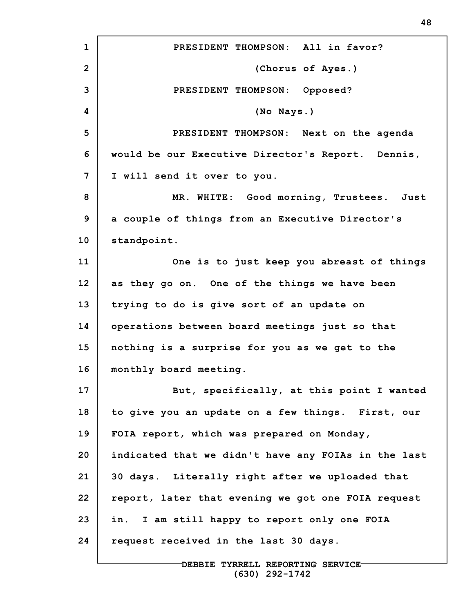**1 2 3 4 5 6 7 8 9 10 11 12 13 14 15 16 17 18 19 20 21 22 23 24 PRESIDENT THOMPSON: All in favor? (Chorus of Ayes.) PRESIDENT THOMPSON: Opposed? (No Nays.) PRESIDENT THOMPSON: Next on the agenda would be our Executive Director's Report. Dennis, I will send it over to you. MR. WHITE: Good morning, Trustees. Just a couple of things from an Executive Director's standpoint. One is to just keep you abreast of things as they go on. One of the things we have been trying to do is give sort of an update on operations between board meetings just so that nothing is a surprise for you as we get to the monthly board meeting. But, specifically, at this point I wanted to give you an update on a few things. First, our FOIA report, which was prepared on Monday, indicated that we didn't have any FOIAs in the last 30 days. Literally right after we uploaded that report, later that evening we got one FOIA request in. I am still happy to report only one FOIA request received in the last 30 days.**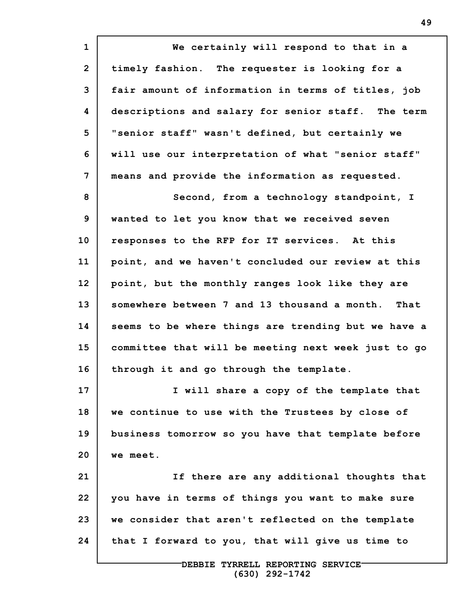| $\mathbf{1}$   | We certainly will respond to that in a              |
|----------------|-----------------------------------------------------|
| $\overline{2}$ | timely fashion. The requester is looking for a      |
| 3              | fair amount of information in terms of titles, job  |
| 4              | descriptions and salary for senior staff. The term  |
| 5              | "senior staff" wasn't defined, but certainly we     |
| 6              | will use our interpretation of what "senior staff"  |
| 7              | means and provide the information as requested.     |
| 8              | Second, from a technology standpoint, I             |
| 9              | wanted to let you know that we received seven       |
| 10             | responses to the RFP for IT services. At this       |
| 11             | point, and we haven't concluded our review at this  |
| 12             | point, but the monthly ranges look like they are    |
| 13             | somewhere between 7 and 13 thousand a month. That   |
| 14             | seems to be where things are trending but we have a |
| 15             | committee that will be meeting next week just to go |
| 16             | through it and go through the template.             |
| 17             | I will share a copy of the template that            |
| 18             | we continue to use with the Trustees by close of    |
| 19             | business tomorrow so you have that template before  |
| 20             | we meet.                                            |
| 21             | If there are any additional thoughts that           |
| 22             | you have in terms of things you want to make sure   |
| 23             | we consider that aren't reflected on the template   |
| 24             | that I forward to you, that will give us time to    |
|                |                                                     |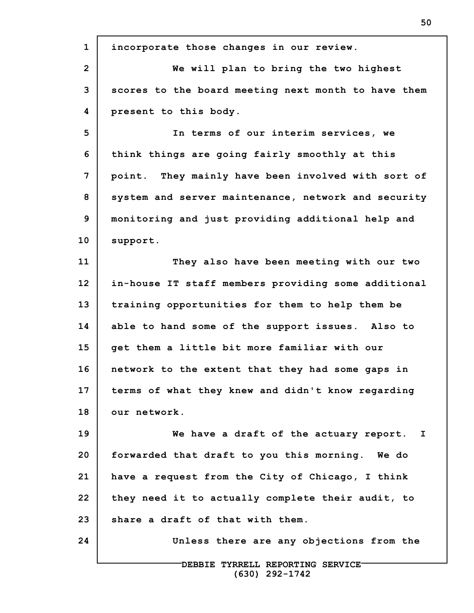**1 2 3 4 5 6 7 8 9 10 11 12 13 14 15 16 17 18 19 20 21 22 23 24 DEBBIE TYRRELL REPORTING SERVICE incorporate those changes in our review. We will plan to bring the two highest scores to the board meeting next month to have them present to this body. In terms of our interim services, we think things are going fairly smoothly at this point. They mainly have been involved with sort of system and server maintenance, network and security monitoring and just providing additional help and support. They also have been meeting with our two in-house IT staff members providing some additional training opportunities for them to help them be able to hand some of the support issues. Also to get them a little bit more familiar with our network to the extent that they had some gaps in terms of what they knew and didn't know regarding our network. We have a draft of the actuary report. I forwarded that draft to you this morning. We do have a request from the City of Chicago, I think they need it to actually complete their audit, to share a draft of that with them. Unless there are any objections from the**

**(630) 292-1742**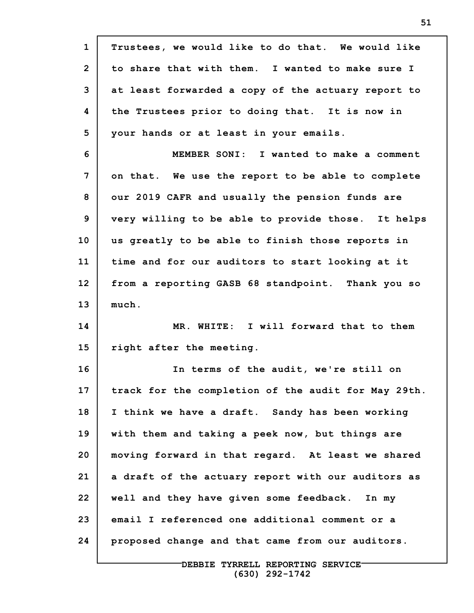| $\mathbf{1}$   | Trustees, we would like to do that. We would like   |
|----------------|-----------------------------------------------------|
| $\overline{2}$ | to share that with them. I wanted to make sure I    |
| 3              | at least forwarded a copy of the actuary report to  |
| 4              | the Trustees prior to doing that. It is now in      |
| 5              | your hands or at least in your emails.              |
| 6              | MEMBER SONI: I wanted to make a comment             |
| 7              | on that. We use the report to be able to complete   |
| 8              | our 2019 CAFR and usually the pension funds are     |
| 9              | very willing to be able to provide those. It helps  |
| 10             | us greatly to be able to finish those reports in    |
| 11             | time and for our auditors to start looking at it    |
| 12             | from a reporting GASB 68 standpoint. Thank you so   |
| 13             | much.                                               |
| 14             | MR. WHITE: I will forward that to them              |
| 15             | right after the meeting.                            |
| 16             | In terms of the audit, we're still on               |
| 17             | track for the completion of the audit for May 29th. |
| 18             | I think we have a draft. Sandy has been working     |
| 19             | with them and taking a peek now, but things are     |
| 20             | moving forward in that regard. At least we shared   |
| 21             | a draft of the actuary report with our auditors as  |
| 22             | well and they have given some feedback.<br>In my    |
| 23             | email I referenced one additional comment or a      |
| 24             | proposed change and that came from our auditors.    |
|                |                                                     |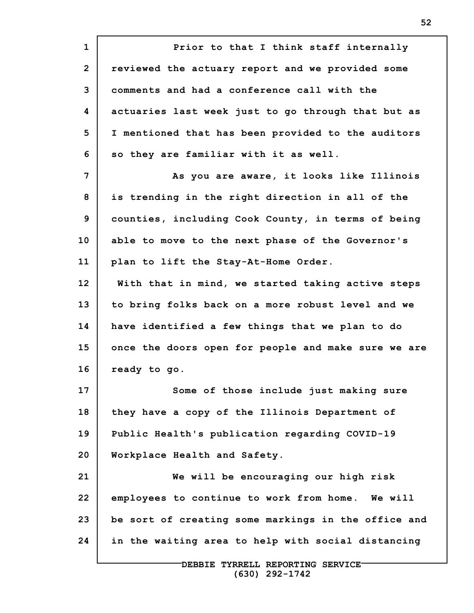**1 2 3 4 5 6 7 8 9 10 11 12 13 14 15 16 17 18 19 20 21 22 23 24 Prior to that I think staff internally reviewed the actuary report and we provided some comments and had a conference call with the actuaries last week just to go through that but as I mentioned that has been provided to the auditors so they are familiar with it as well. As you are aware, it looks like Illinois is trending in the right direction in all of the counties, including Cook County, in terms of being able to move to the next phase of the Governor's plan to lift the Stay-At-Home Order. With that in mind, we started taking active steps to bring folks back on a more robust level and we have identified a few things that we plan to do once the doors open for people and make sure we are ready to go. Some of those include just making sure they have a copy of the Illinois Department of Public Health's publication regarding COVID-19 Workplace Health and Safety. We will be encouraging our high risk employees to continue to work from home. We will be sort of creating some markings in the office and in the waiting area to help with social distancing**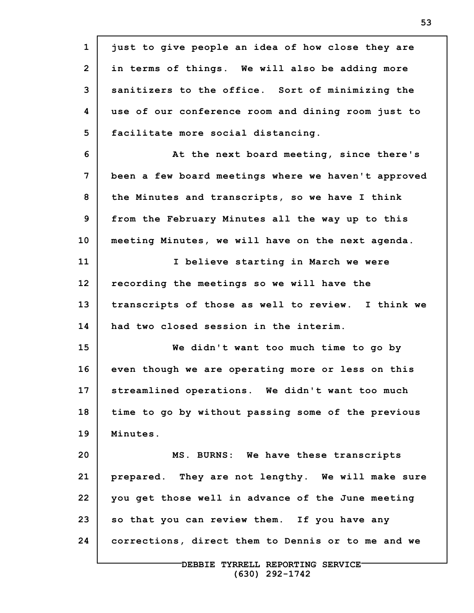**1 2 3 4 5 6 7 8 9 10 11 12 13 14 15 16 17 18 19 20 21 22 23 24 just to give people an idea of how close they are in terms of things. We will also be adding more sanitizers to the office. Sort of minimizing the use of our conference room and dining room just to facilitate more social distancing. At the next board meeting, since there's been a few board meetings where we haven't approved the Minutes and transcripts, so we have I think from the February Minutes all the way up to this meeting Minutes, we will have on the next agenda. I believe starting in March we were recording the meetings so we will have the transcripts of those as well to review. I think we had two closed session in the interim. We didn't want too much time to go by even though we are operating more or less on this streamlined operations. We didn't want too much time to go by without passing some of the previous Minutes. MS. BURNS: We have these transcripts prepared. They are not lengthy. We will make sure you get those well in advance of the June meeting so that you can review them. If you have any corrections, direct them to Dennis or to me and we**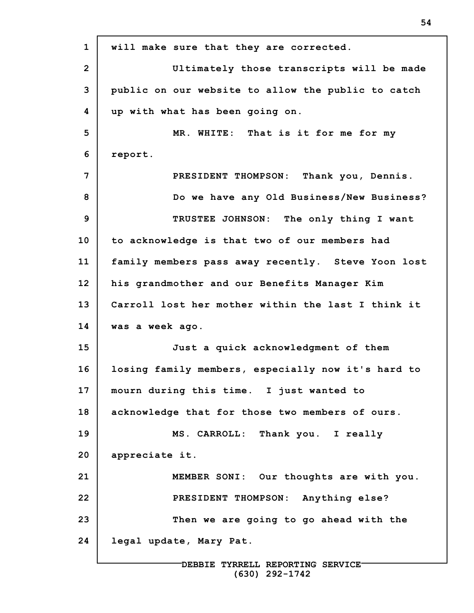**1 2 3 4 5 6 7 8 9 10 11 12 13 14 15 16 17 18 19 20 21 22 23 24 will make sure that they are corrected. Ultimately those transcripts will be made public on our website to allow the public to catch up with what has been going on. MR. WHITE: That is it for me for my report. PRESIDENT THOMPSON: Thank you, Dennis. Do we have any Old Business/New Business? TRUSTEE JOHNSON: The only thing I want to acknowledge is that two of our members had family members pass away recently. Steve Yoon lost his grandmother and our Benefits Manager Kim Carroll lost her mother within the last I think it was a week ago. Just a quick acknowledgment of them losing family members, especially now it's hard to mourn during this time. I just wanted to acknowledge that for those two members of ours. MS. CARROLL: Thank you. I really appreciate it. MEMBER SONI: Our thoughts are with you. PRESIDENT THOMPSON: Anything else? Then we are going to go ahead with the legal update, Mary Pat.**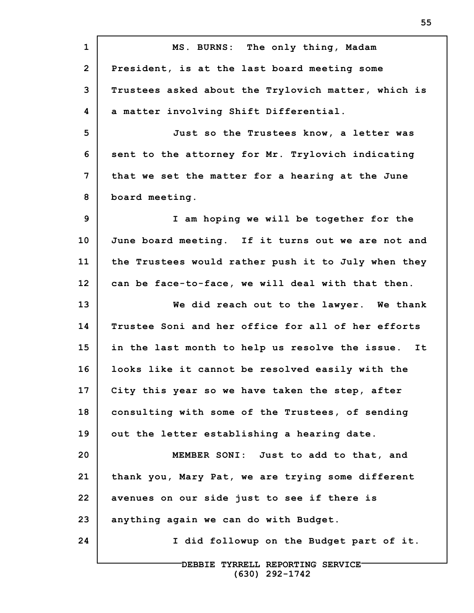**1 2 3 4 5 6 7 8 9 10 11 12 13 14 15 16 17 18 19 20 21 22 23 24 MS. BURNS: The only thing, Madam President, is at the last board meeting some Trustees asked about the Trylovich matter, which is a matter involving Shift Differential. Just so the Trustees know, a letter was sent to the attorney for Mr. Trylovich indicating that we set the matter for a hearing at the June board meeting. I am hoping we will be together for the June board meeting. If it turns out we are not and the Trustees would rather push it to July when they can be face-to-face, we will deal with that then. We did reach out to the lawyer. We thank Trustee Soni and her office for all of her efforts in the last month to help us resolve the issue. It looks like it cannot be resolved easily with the City this year so we have taken the step, after consulting with some of the Trustees, of sending out the letter establishing a hearing date. MEMBER SONI: Just to add to that, and thank you, Mary Pat, we are trying some different avenues on our side just to see if there is anything again we can do with Budget. I did followup on the Budget part of it.**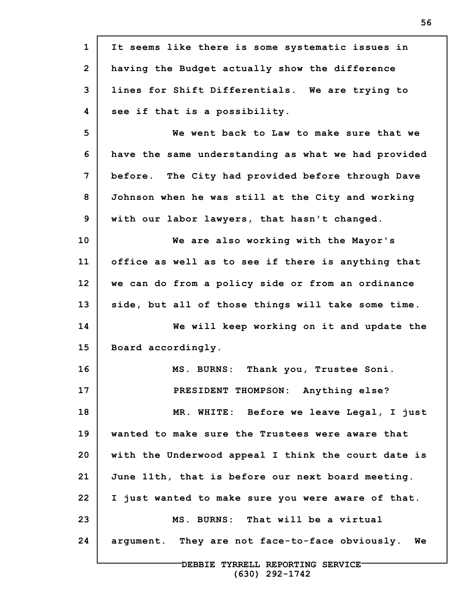| $\mathbf{1}$   | It seems like there is some systematic issues in    |
|----------------|-----------------------------------------------------|
| $\overline{2}$ | having the Budget actually show the difference      |
| 3              | lines for Shift Differentials. We are trying to     |
| 4              | see if that is a possibility.                       |
| 5              | We went back to Law to make sure that we            |
| 6              | have the same understanding as what we had provided |
| 7              | before. The City had provided before through Dave   |
| 8              | Johnson when he was still at the City and working   |
| 9              | with our labor lawyers, that hasn't changed.        |
| 10             | We are also working with the Mayor's                |
| 11             | office as well as to see if there is anything that  |
| 12             | we can do from a policy side or from an ordinance   |
| 13             | side, but all of those things will take some time.  |
| 14             | We will keep working on it and update the           |
| 15             | Board accordingly.                                  |
| 16             | MS. BURNS: Thank you, Trustee Soni.                 |
| 17             | PRESIDENT THOMPSON: Anything else?                  |
| 18             | MR. WHITE: Before we leave Legal, I just            |
| 19             | wanted to make sure the Trustees were aware that    |
| 20             | with the Underwood appeal I think the court date is |
| 21             | June 11th, that is before our next board meeting.   |
| 22             | I just wanted to make sure you were aware of that.  |
| 23             | MS. BURNS: That will be a virtual                   |
| 24             | argument. They are not face-to-face obviously. We   |
|                | DEBBIE TYRRELL REPORTING SERVICE-                   |

**(630) 292-1742**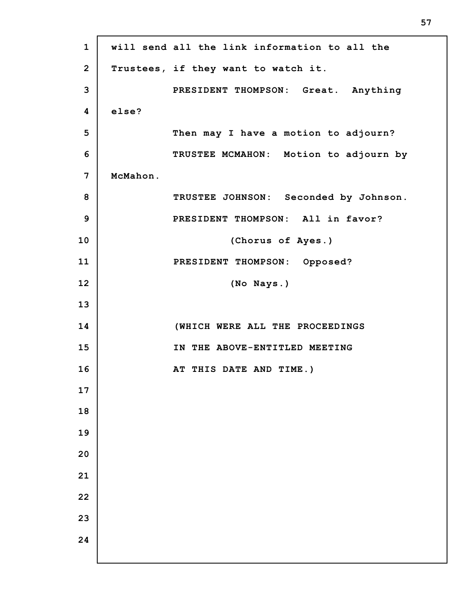| $\mathbf{1}$ | will send all the link information to all the |
|--------------|-----------------------------------------------|
| $\mathbf{2}$ | Trustees, if they want to watch it.           |
| 3            | PRESIDENT THOMPSON: Great. Anything           |
| 4            | else?                                         |
| 5            | Then may I have a motion to adjourn?          |
| 6            | TRUSTEE MCMAHON: Motion to adjourn by         |
| 7            | McMahon.                                      |
| 8            | TRUSTEE JOHNSON: Seconded by Johnson.         |
| 9            | PRESIDENT THOMPSON: All in favor?             |
| 10           | (Chorus of Ayes.)                             |
| 11           | PRESIDENT THOMPSON: Opposed?                  |
| 12           | (No Nays.)                                    |
| 13           |                                               |
| 14           | (WHICH WERE ALL THE PROCEEDINGS               |
| 15           | IN THE ABOVE-ENTITLED MEETING                 |
| 16           | AT THIS DATE AND TIME.)                       |
| 17           |                                               |
| 18           |                                               |
| 19           |                                               |
| 20           |                                               |
| 21<br>22     |                                               |
| 23           |                                               |
| 24           |                                               |
|              |                                               |

 $\Gamma$